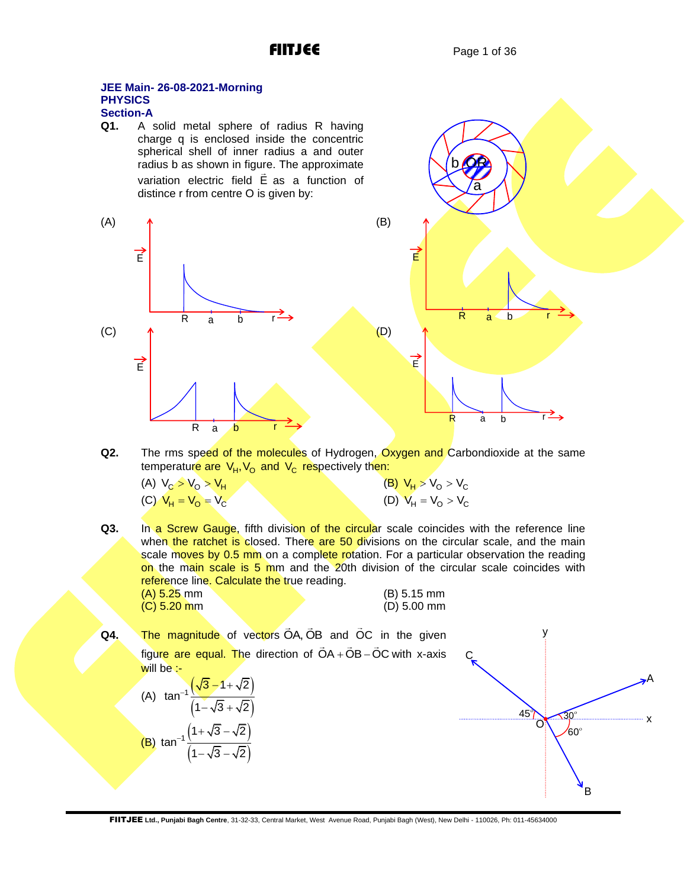OR

b

a

### **JEE Main- 26-08-2021-Morning PHYSICS Section-A**

**Q1.** A solid metal sphere of radius R having charge q is enclosed inside the concentric spherical shell of inner radius a and outer radius b as shown in figure. The approximate variation electric field E as a function of distince r from centre O is given by:



**Q2.** The rms speed of the molecules of Hydrogen, Oxygen and Carbondioxide at the same temperature are V<sub>H</sub>, V<sub>o</sub> and V<sub>c</sub> respectively then:

| (A) $V_c > V_0 > V_H$ | (B) $V_H > V_O > V_C$ |
|-----------------------|-----------------------|
| (C) $V_H = V_O = V_C$ | (D) $V_H = V_O > V_C$ |

**Q3.** In a Screw Gauge, fifth division of the circular scale coincides with the reference line when the ratchet is closed. There are 50 divisions on the circular scale, and the main scale moves by 0.5 mm on a complete rotation. For a particular observation the reading on the main scale is 5 mm and the 20th division of the circular scale coincides with reference line. Calculate the true reading.

| $(A)$ 5.25 mm | (B) 5.15 mm   |
|---------------|---------------|
| $(C)$ 5.20 mm | $(D)$ 5.00 mm |

**Q4.** The magnitude of vectors OA, OB and OC in the given figure are equal. The direction of OA + OB - OC with x-axis will be :-(A)  $\tan^{-1} \frac{(\sqrt{3}-1+\sqrt{2})}{\sqrt{2}-\sqrt{2}}$  $(1-\sqrt{3}+\sqrt{2})$  $\sqrt{3} - 1 + \sqrt{2}$ tan  $1 - \sqrt{3} + \sqrt{2}$  $\sqrt{3} - 1 + \sqrt{2}$  $-\sqrt{3}+\sqrt{3}$ (B)  $\tan^{-1}\frac{(1+\sqrt{3}-\sqrt{2})}{\sqrt{2}-\sqrt{2}}$  $(1-\sqrt{3}-\sqrt{2})$  $\sqrt{1 + \sqrt{3}} - \sqrt{2}$ tan  $1 - \sqrt{3} - \sqrt{2}$  $_{-1}$   $\left(1+\sqrt{3}-\sqrt{3}\right)$ − √3 –  $\sqrt{3}$  $45<sup>°</sup>$  $30<sup>°</sup>$  $60^\circ$ B x A õ, y C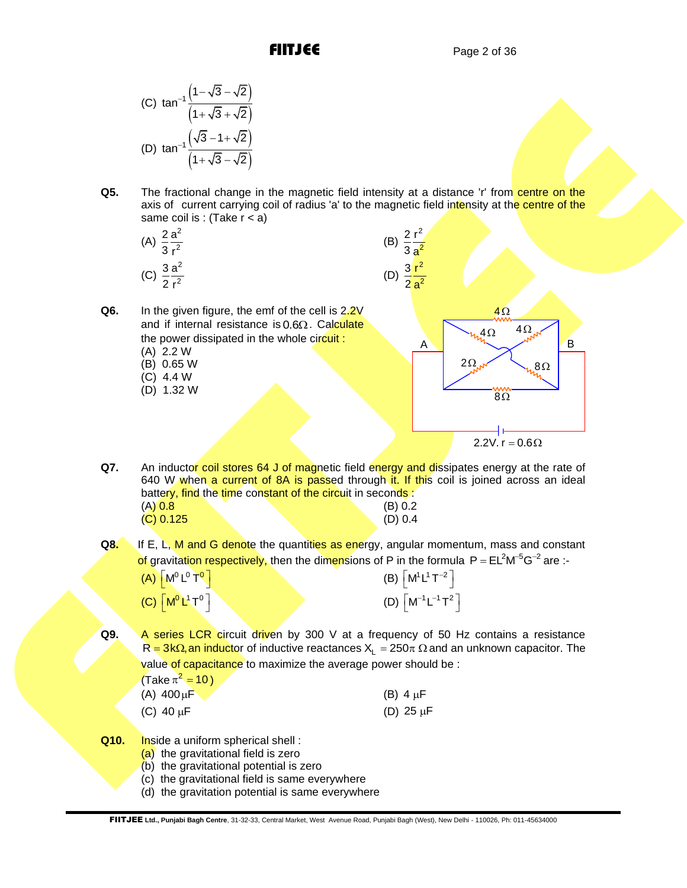(C) 
$$
\tan^{-1} \frac{\left(1 - \sqrt{3} - \sqrt{2}\right)}{\left(1 + \sqrt{3} + \sqrt{2}\right)}
$$
  
(D)  $\tan^{-1} \frac{\left(\sqrt{3} - 1 + \sqrt{2}\right)}{\left(1 + \sqrt{3} - \sqrt{2}\right)}$ 

**Q6.** In the given figure, the emf of the cell is 2.2V

and if internal resistance is 0.6Ω. Calculate the power dissipated in the whole circuit:

**Q5.** The fractional change in the magnetic field intensity at a distance 'r' from centre on the axis of current carrying coil of radius 'a' to the magnetic field intensity at the centre of the same coil is : (Take  $r < a$ )

(B)

2 2 2r

(A) 
$$
\frac{2}{3} \frac{a^2}{r^2}
$$
  
(C)  $\frac{3}{2} \frac{a^2}{r^2}$ 

(A) 2.2 W (B) 0.65 W (B) 0.65 W (C) 4.4 W (D) 1.32 W



**Q7.** An inductor coil stores 64 J of magnetic field energy and dissipates energy at the rate of 640 W when a current of 8A is passed through it. If this coil is joined across an ideal battery, find the time constant of the circuit in seconds :  $(A) 0.8$  (B) 0.2 (C) 0.125 (D) 0.4

**Q8.** If E, L, M and G denote the quantities as energy, angular momentum, mass and constant of gravitation respectively, then the dimensions of P in the formula  $P = EL<sup>2</sup> M<sup>-5</sup>G<sup>-2</sup>$  are :-

| $(A)$ $[M^0 L^0 T^0]$       | (B) $\left\lceil M^1 L^1 T^{-2} \right\rceil$  |
|-----------------------------|------------------------------------------------|
| $(C)$ $\boxed{M^0 L^1 T^0}$ | (D) $\left\lceil M^{-1}L^{-1}T^2 \right\rceil$ |

Q9. A series LCR circuit driven by 300 V at a frequency of 50 Hz contains a resistance  $\mathsf{R} =$  3kΩ, an inductor of inductive reactances  $\mathsf{X}_\mathsf{L} = 250\pi$  Ω and an unknown capacitor. The value of capacitance to maximize the average power should be :

| (Take $\pi^2$ = 10) |                |
|---------------------|----------------|
| (A) $400 \mu F$     | (B) $4 \mu F$  |
| (C) 40 $\mu$ F      | (D) 25 $\mu$ F |

**Q10.** Inside a uniform spherical shell:

- (a) the gravitational field is zero
- (b) the gravitational potential is zero
- (c) the gravitational field is same everywhere
- (d) the gravitation potential is same everywhere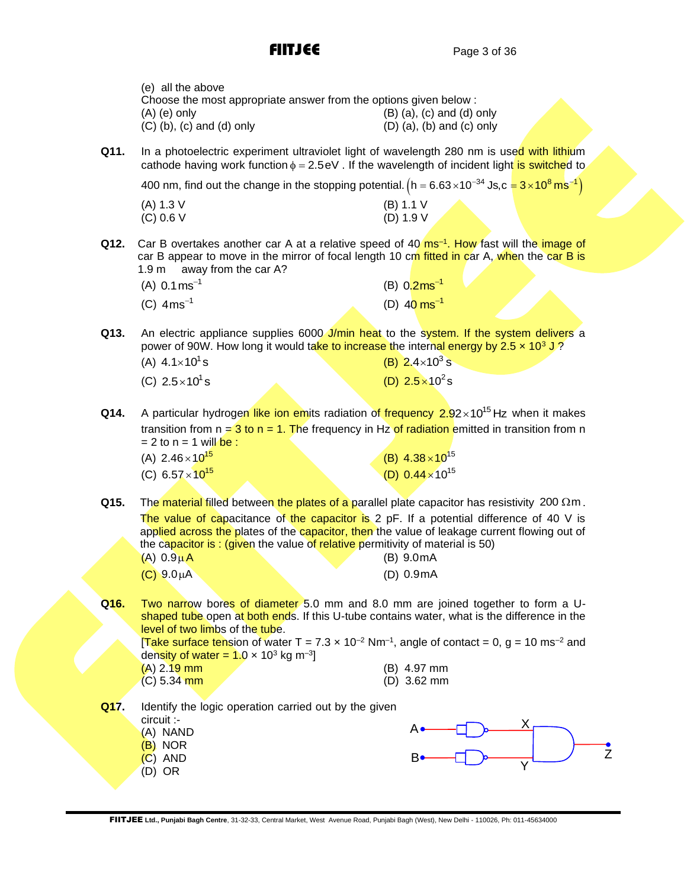|      | (e) all the above<br>Choose the most appropriate answer from the options given below :<br>$(A)$ (e) only<br>$(C)$ (b), $(c)$ and $(d)$ only                                                                                                                                                                                                                                      | $(B)$ (a), (c) and (d) only<br>$(D)$ (a), (b) and (c) only |
|------|----------------------------------------------------------------------------------------------------------------------------------------------------------------------------------------------------------------------------------------------------------------------------------------------------------------------------------------------------------------------------------|------------------------------------------------------------|
| Q11. | In a photoelectric experiment ultraviolet light of wavelength 280 nm is used with lithium<br>cathode having work function $\phi = 2.5 \text{ eV}$ . If the wavelength of incident light is switched to                                                                                                                                                                           |                                                            |
|      | 400 nm, find out the change in the stopping potential. $(h = 6.63 \times 10^{-34} \text{ Js}, c = 3 \times 10^8 \text{ m s}^{-1})$                                                                                                                                                                                                                                               |                                                            |
|      | (A) 1.3 V<br>(C) 0.6 V                                                                                                                                                                                                                                                                                                                                                           | (B) 1.1 V<br>(D) 1.9 V                                     |
| Q12. | Car B overtakes another car A at a relative speed of 40 $\text{ms}$ <sup>-1</sup> . How fast will the image of<br>car B appear to move in the mirror of focal length 10 cm fitted in car A, when the car B is<br>away from the car A?<br>1.9 <sub>m</sub>                                                                                                                        |                                                            |
|      | (A) $0.1 \text{ ms}^{-1}$                                                                                                                                                                                                                                                                                                                                                        | (B) $0.2 \text{ms}^{-1}$                                   |
|      | (C) $4ms^{-1}$                                                                                                                                                                                                                                                                                                                                                                   | (D) $40 \text{ ms}^{-1}$                                   |
| Q13. | An electric appliance supplies 6000 J/min heat to the system. If the system delivers a<br>power of 90W. How long it would take to increase the internal energy by 2.5 $\times$ 10 <sup>3</sup> J?                                                                                                                                                                                |                                                            |
|      | (A) $4.1 \times 10^{1}$ s                                                                                                                                                                                                                                                                                                                                                        | (B) $2.4 \times 10^3$ s                                    |
|      | (C) $2.5 \times 10^1$ s                                                                                                                                                                                                                                                                                                                                                          | (D) $2.5 \times 10^2$ s                                    |
| Q14. | A particular hydrogen like ion emits radiation of frequency $2.92 \times 10^{15}$ Hz when it makes<br>transition from $n = 3$ to $n = 1$ . The frequency in Hz of radiation emitted in transition from n<br>$= 2$ to n = 1 will be :<br>(A) $2.46 \times 10^{15}$                                                                                                                | (B) $4.38 \times 10^{15}$                                  |
|      | (C) $6.57 \times 10^{15}$                                                                                                                                                                                                                                                                                                                                                        | (D) $0.44 \times 10^{15}$                                  |
|      |                                                                                                                                                                                                                                                                                                                                                                                  |                                                            |
| Q15. | The material filled between the plates of a parallel plate capacitor has resistivity 200 $\Omega$ m.<br>The value of capacitance of the capacitor is 2 pF. If a potential difference of 40 V is<br>applied across the plates of the capacitor, then the value of leakage current flowing out of<br>the capacitor is: (given the value of relative permitivity of material is 50) |                                                            |
|      | $(A)$ 0.9 $\mu$ A                                                                                                                                                                                                                                                                                                                                                                | (B) 9.0mA                                                  |
|      | $(C) 9.0 \mu A$                                                                                                                                                                                                                                                                                                                                                                  | (D) 0.9mA                                                  |
| Q16. | Two narrow bores of diameter 5.0 mm and 8.0 mm are joined together to form a U-<br>shaped tube open at both ends. If this U-tube contains water, what is the difference in the<br>level of two limbs of the tube.                                                                                                                                                                |                                                            |
|      | <b>Take surface tension of water T</b> = 7.3 x 10 <sup>-2</sup> Nm <sup>-1</sup> , angle of contact = 0, g = 10 ms <sup>-2</sup> and<br>density of water = $1.0 \times 10^3$ kg m <sup>-3</sup> ]                                                                                                                                                                                |                                                            |
|      | $(A)$ 2.19 mm<br>$(C)$ 5.34 mm                                                                                                                                                                                                                                                                                                                                                   | (B) 4.97 mm<br>(D) 3.62 mm                                 |
| Q17. | Identify the logic operation carried out by the given                                                                                                                                                                                                                                                                                                                            |                                                            |
|      | circuit :-                                                                                                                                                                                                                                                                                                                                                                       | A٠                                                         |
|      | (A) NAND<br>(B) NOR                                                                                                                                                                                                                                                                                                                                                              |                                                            |
|      | $(C)$ AND                                                                                                                                                                                                                                                                                                                                                                        | $\overline{z}$<br>в٠                                       |
|      | $(D)$ OR                                                                                                                                                                                                                                                                                                                                                                         |                                                            |
|      |                                                                                                                                                                                                                                                                                                                                                                                  |                                                            |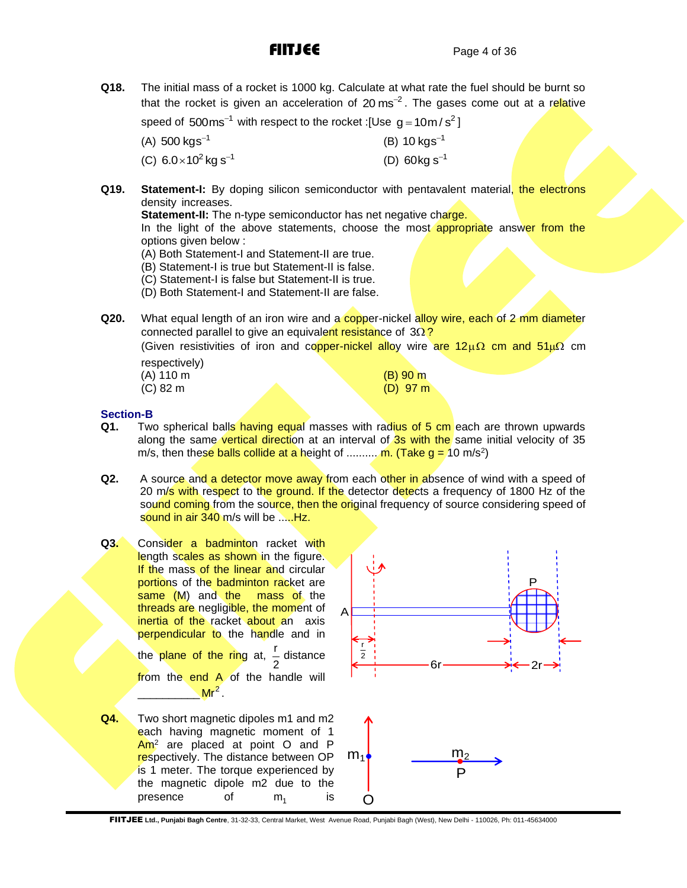**Q18.** The initial mass of a rocket is 1000 kg. Calculate at what rate the fuel should be burnt so that the rocket is given an acceleration of 20 ms<sup>-2</sup>. The gases come out at a relative

speed of  $500 \text{ms}^{-1}$  with respect to the rocket :[Use  $g = 10 \text{m/s}^2$ ]

 $(A)$  500 kgs<sup>-1</sup>  $(B)$  10 kgs<sup>-1</sup>

(C)  $6.0 \times 10^2$  kg s<sup>-1</sup> (D)  $60kg s^{-1}$ 

**Q19. Statement-I:** By doping silicon semiconductor with pentavalent material, the electrons density increases.

**Statement-II:** The n-type semiconductor has net negative charge.

In the light of the above statements, choose the most appropriate answer from the options given below :

(A) Both Statement-I and Statement-II are true.

(B) Statement-I is true but Statement-II is false.

(C) Statement-I is false but Statement-II is true.

- (D) Both Statement-I and Statement-II are false.
- **Q20.** What equal length of an iron wire and a copper-nickel alloy wire, each of 2 mm diameter connected parallel to give an equivalent resistance of 3Ω?

(Given resistivities of iron and conper-nickel alloy wire are  $12\mu\Omega$  cm and  $51\mu\Omega$  cm respectively)

| (A) 110 m |  | $(B)$ 90 m |
|-----------|--|------------|
| (C) 82 m  |  | $(D)$ 97 m |
|           |  |            |

## **Section-B**

- **Q1.** Two spherical balls having equal masses with radius of 5 cm each are thrown upwards along the same vertical direction at an interval of 3s with the same initial velocity of 35 m/s, then these balls collide at a height of .......... m. (Take g = 10 m/s<sup>2</sup>)
- **Q2.** A source and a detector move away from each other in absence of wind with a speed of 20 m/s with respect to the ground. If the detector detects a frequency of 1800 Hz of the sound coming from the source, then the original frequency of source considering speed of sound in air 340 m/s will be .....Hz.
- Q3. Consider a badminton racket with length scales as shown in the figure. If the mass of the linear and circular portions of the badminton racket are same (M) and the mass of the threads are negligible, the moment of inertia of the racket about an axis perpendicular to the handle and in the plane of the ring at,  $\frac{r}{2}$ 2 distance from the end A of the handle will  $Mr<sup>2</sup>$ .

 $\frac{1}{2}$ 

**Q4.** Two short magnetic dipoles m1 and m2 each having magnetic moment of 1 Am<sup>2</sup> are placed at point O and P respectively. The distance between OP is 1 meter. The torque experienced by the magnetic dipole m2 due to the presence of  $m<sub>1</sub>$ is



FIITJEE **Ltd., Punjabi Bagh Centre**, 31-32-33, Central Market, West Avenue Road, Punjabi Bagh (West), New Delhi - 110026, Ph: 011-45634000

 $\cap$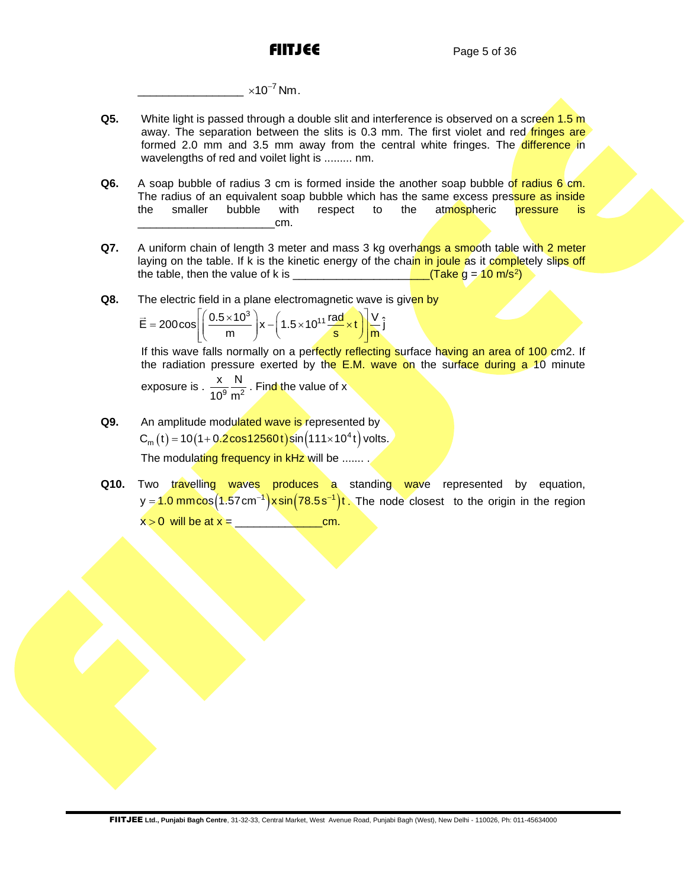\_\_\_\_\_\_\_\_\_\_\_\_\_\_\_\_\_  $\times 10^{-7}$  Nm.

- **Q5.** White light is passed through a double slit and interference is observed on a screen 1.5 m away. The separation between the slits is 0.3 mm. The first violet and red *fringes* are formed 2.0 mm and 3.5 mm away from the central white fringes. The difference in wavelengths of red and voilet light is ......... nm.
- **Q6.** A soap bubble of radius 3 cm is formed inside the another soap bubble of radius 6 cm. The radius of an equivalent soap bubble which has the same excess pressure as inside<br>the smaller bubble with respect to the atmospheric pressure is to the atmospheric \_\_\_\_\_\_\_\_\_\_\_\_\_\_\_\_\_\_\_\_\_\_cm.
- **Q7.** A uniform chain of length 3 meter and mass 3 kg overhangs a smooth table with 2 meter laying on the table. If k is the kinetic energy of the chain in joule as it completely slips off the table, then the value of k is \_\_\_\_\_\_\_\_\_\_\_\_\_\_\_\_\_\_\_\_\_\_(Take g = 10 m/s<sup>2</sup> )
- 

**Q8.** The electric field in a plane electromagnetic wave is given by 
$$
\vec{E} = 200 \cos \left[ \left( \frac{0.5 \times 10^3}{m} \right) x - \left( 1.5 \times 10^{11} \frac{\text{rad}}{\text{s}} \times t \right) \right] \frac{V}{m} \hat{j}
$$

If this wave falls normally on a perfectly reflecting surface having an area of 100 cm2. If the radiation pressure exerted by the  $E.M.$  wave on the surface during a 10 minute exposure is .  $\frac{1}{10^9} \frac{1}{m^2}$ x N  $10^9$  m . Find the value of x

- **Q9.** An amplitude modulated wave is represented by An amplitude modulated wave is represented by<br> $C_m(t) = 10(1+0.2\cos 12560t)\sin\left(111\times10^4t\right)$  volts. The modulating frequency in kHz will be .......
- **Q10.** Two travelling waves produces a standing wave represented by equation, Two travelling waves produces a standing wave represented by equation,<br>y=<mark>1.0 mmcos</mark>(1.57 cm<sup>-1</sup>)x sin(78.5 s<sup>-1</sup>)t . The node closest to the origin in the region x 0 will be at x = \_\_\_\_\_\_\_\_\_\_\_\_\_\_cm.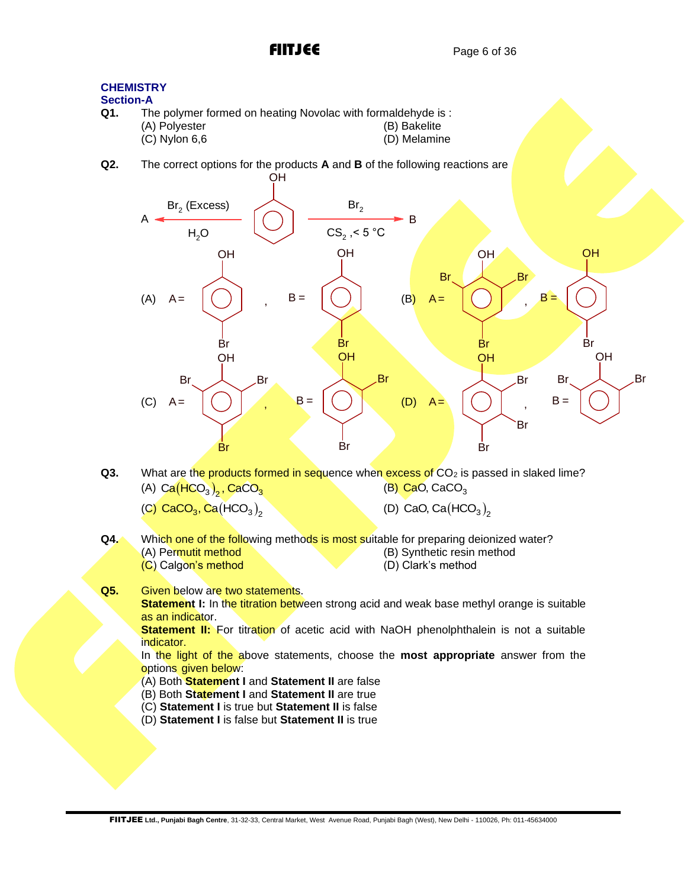

### **CHEMISTRY Section-A**<br>Q1. Th The polymer formed on heating Novolac with formaldehyde is : (A) Polyester (B) Bakelite<br>
(C) Nylon 6.6 (D) Melamine  $(C)$  Nylon 6,6 **Q2.** The correct options for the products **A** and **B** of the following reactions are OH  $\mathsf{Br}_2$  (Excess)  $H<sub>2</sub>O$ A B  $Br<sub>2</sub>$  $\text{CS}_2$  ,< 5 °C (A) **OH**  $A =$ OH  $B =$  $(B)$ OH Br  $\mathcal{A}$  Br  $A =$ **OH**  $B =$

- **Br** Br Br Br  $(C)$ OH Br Br Br  $A =$ **OH** Br Br  $B =$ (D) **OH** Br Br Br  $A =$ OH Br  $\lambda$  Br  $B =$
- **Q3.** What are the products formed in sequence when excess of CO<sub>2</sub> is passed in slaked lime? (A)  $Ca(HCO<sub>3</sub>)<sub>2</sub>$ ,  $CaCO<sub>3</sub>$ (B) CaO, CaCO<sub>3</sub>
	- (C)  $\textsf{CaCO}_3, \textsf{Ca}(\textsf{HCO}_3)_2$
- (D) CaO,  $Ca(HCO<sub>3</sub>)<sub>2</sub>$
- **Q4.** Which one of the following methods is most suitable for preparing deionized water?<br>(A) Permutit method (B) Synthetic resin method (B) Synthetic resin method (C) Calgon's method (D) Clark's method
- **Q5.** Given below are two statements.

**Statement I:** In the titration between strong acid and weak base methyl orange is suitable as an indicator.

**Statement II:** For titration of acetic acid with NaOH phenolphthalein is not a suitable indicator.

In the light of the above statements, choose the **most appropriate** answer from the options given below:

- (A) Both **Statement I** and **Statement II** are false
- (B) Both **Statement I** and **Statement II** are true
- (C) **Statement I** is true but **Statement II** is false
- (D) **Statement I** is false but **Statement II** is true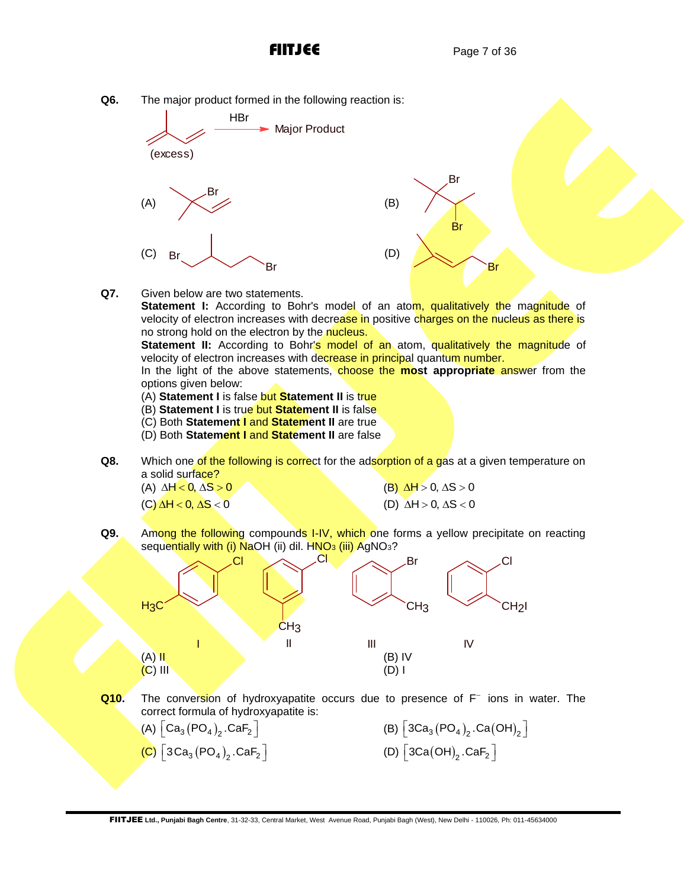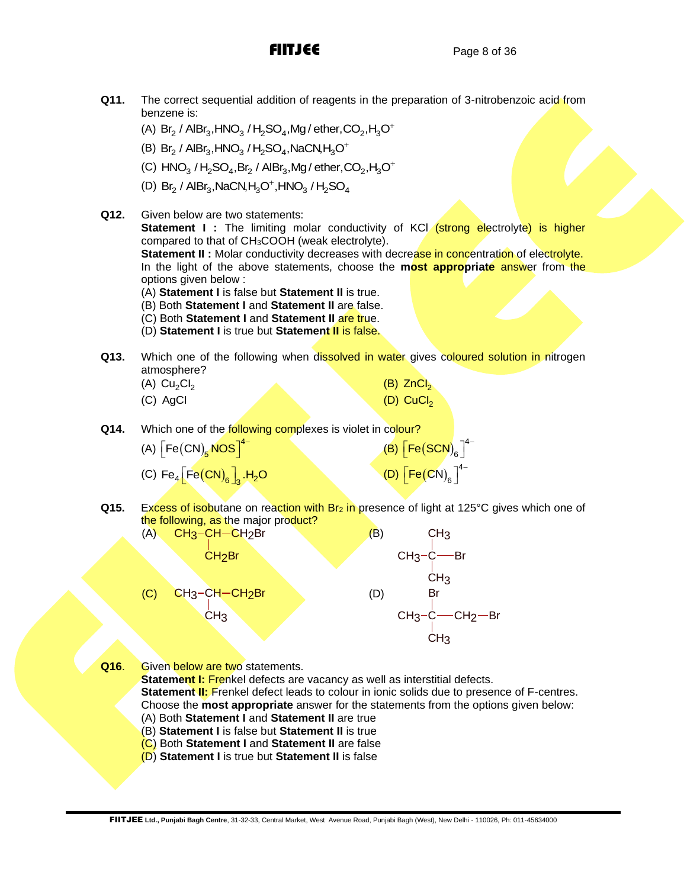- **Q11.** The correct sequential addition of reagents in the preparation of 3-nitrobenzoic acid from benzene is: benzene is:<br>(A) Br<sub>2</sub> / AlBr<sub>3</sub>,HNO<sub>3</sub> / H<sub>2</sub>SO<sub>4</sub>,Mg / ether,CO<sub>2</sub>,H<sub>3</sub>O
	- $^{+}$
	- (A)  $B_2$  / AlBi<sub>3</sub>, in  $O_3$  / E<sub>2</sub>SO<sub>4</sub>, Mg/ et let,  $P_3$ <br>(B)  $Br_2$  / AlBr<sub>3</sub>, HNO<sub>3</sub> / H<sub>2</sub>SO<sub>4</sub>, NaCN, H<sub>3</sub>O  $^{+}$
	- (B)  $\rm Br_2$  / AlBr $_3$ ,HNO $_3$  / H<sub>2</sub>SO<sub>4</sub>,NaCN,H $_3$ O<sup>+</sup><br>(C) HNO $_3$  / H<sub>2</sub>SO<sub>4</sub>,Br $_2$  / AlBr $_3$ ,Mg / ether,CO $_2$ ,H $_3$ O  $^+$
	- (C) Thro<sub>3</sub> / H<sub>2</sub>OO<sub>4</sub>, Br<sub>2</sub> / AlBr<sub>3</sub>, Mg / ether, C<br>(D) Br<sub>2</sub> / AlBr<sub>3</sub>, NaCN, H<sub>3</sub>O<sup>+</sup>, HNO<sub>3</sub> / H<sub>2</sub>SO<sub>4</sub>
- **Q12.** Given below are two statements: **Statement I:** The limiting molar conductivity of KCl *(strong electrolyte)* is higher compared to that of CH3COOH (weak electrolyte). **Statement II :** Molar conductivity decreases with decrease in concentration of electrolyte. In the light of the above statements, choose the **most appropriate** answer from the options given below : (A) **Statement I** is false but **Statement II** is true. (B) Both **Statement I** and **Statement II** are false. (C) Both **Statement I** and **Statement II** are true. (D) **Statement I** is true but **Statement II** is false.
	-
- **Q13.** Which one of the following when dissolved in water gives coloured solution in nitrogen atmosphere?

| (A) $Cu2Cl2$ |  | $(B)$ ZnCl <sub>2</sub> |
|--------------|--|-------------------------|
| (C) AgCl     |  | $(D)$ CuCl <sub>2</sub> |

- **Q14.** Which one of the **following complexes** is violet in colour?
	- (A)  $\left\lceil \mathsf{Fe(CN)}_{5}\mathsf{\overline{NOS}}\right\rceil^{4}$  $\left[\mathsf{Fe}(\mathsf{CN})_\mathbf{5} \mathsf{NOS}\right]^{4-}$  $(B)$   $[Fe(SCN)<sub>6</sub>]$ <sup>4</sup>  $\left[\mathsf{Fe}(\mathsf{SCN})_{6}\right]^{4-}$ (C)  $\mathsf{Fe}_{4}\left[\mathsf{Fe}\left(\mathsf{CN}\right)_{6}\right]_{3}$ .H<sub>2</sub>O (D)  $\left[\text{Fe(CN)}_{\text{e}}\right]^4$  $\left[\mathsf{Fe}\big(\mathsf{CN}\big)_{\mathsf{6}}\right]^{\mathsf{4}-}$
- **Q15.** Excess of isobutane on reaction with Br<sub>2</sub> in presence of light at 125°C gives which one of the following, as the major product?



- **Q16.** Given below are two statements.
	- **Statement I: Frenkel defects are vacancy as well as interstitial defects.**
	- **Statement II:** Frenkel defect leads to colour in ionic solids due to presence of F-centres.
	- Choose the **most appropriate** answer for the statements from the options given below:
	- (A) Both **Statement I** and **Statement II** are true
	- (B) **Statement I** is false but **Statement II** is true (C) Both **Statement I** and **Statement II** are false
	- (D) **Statement I** is true but **Statement II** is false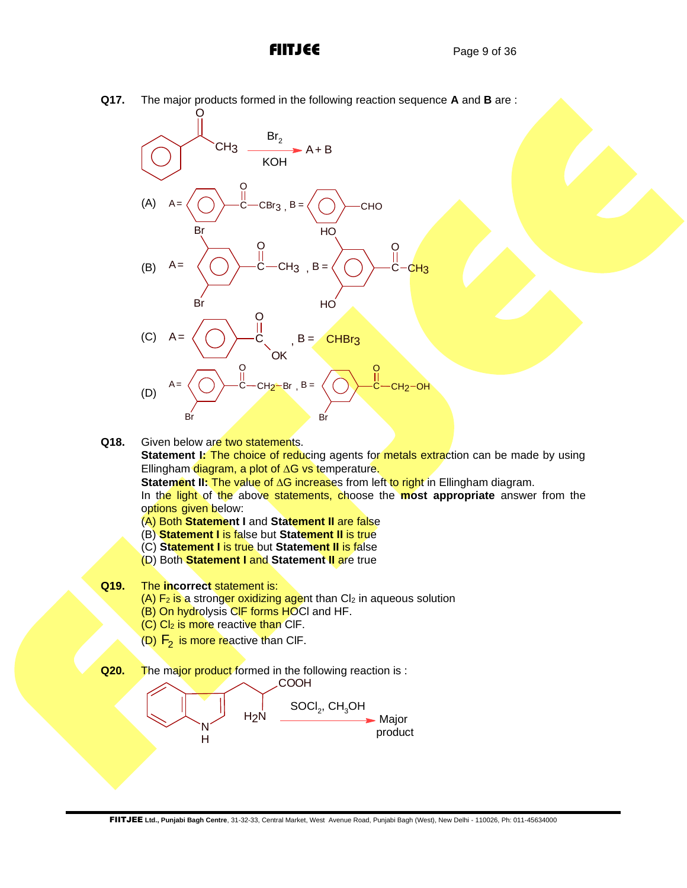O



**Q17.** The major products formed in the following reaction sequence **A** and **B** are :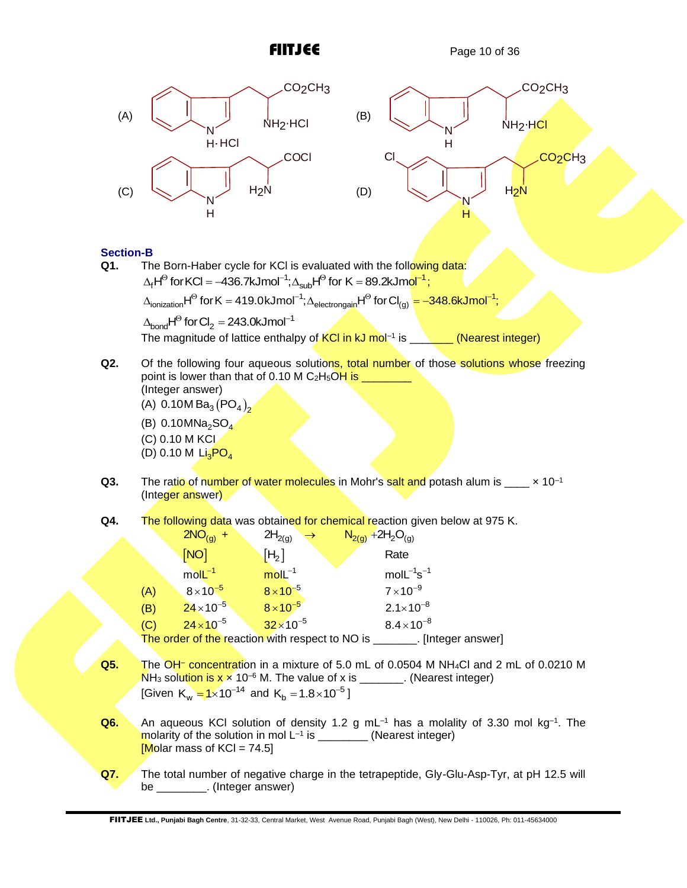



Section-B<br>Q1. Th The Born-Haber cycle for KCI is evaluated with the following data: **∙в**<br>The Born-Haber cycle for KCl is evaluated with the foll<mark>owing c</mark><br>∆<sub>f</sub>H<sup>⊝</sup> for KCl = –436.7kJmol<sup>−1</sup>;∆<sub>sub</sub>H<sup>⊝</sup> for K = 89.2kJm<mark>ol<sup>−1</sup>;</mark> The Born-Haber cycle for KCI is evaluated with the following data:<br>  $\Delta_f H^{\Theta}$  for KCI = –436.7kJmol<sup>-1</sup>;  $\Delta_{sub} H^{\Theta}$  for K = 89.2kJmol<sup>-1</sup>;<br>  $\Delta_{ionization} H^{\Theta}$  for K = 419.0kJmol<sup>-1</sup>;  $\Delta_{electron gain} H^{\Theta}$  for Cl<sub>(g)</sub> = –348.6kJmol<sup></sup>  $\Delta_{\text{bond}}$ H<sup> $\odot$ </sup> for Cl<sub>2</sub> = 243.0kJmol<sup>-1</sup>

The magnitude of lattice enthalpy of KCI in kJ mol<sup>-1</sup> is \_\_**\_\_\_\_\_ (Nearest integer)** 

**Q2.** Of the following four aqueous solutions, total number of those solutions whose freezing point is lower than that of 0.10 M C<sub>2</sub>H<sub>5</sub>OH is  $\_$ (Integer answer)

(A)  $0.10M Ba<sub>3</sub> (PO<sub>4</sub>)<sub>2</sub>$ 

(B) 0.10MNa $_{\rm 2}$ SO $_{\rm 4}$ (C) 0.10 M KCI (D) 0.10 M  $\overline{\mathsf{Li}_3\mathsf{PO}_4}$ 

- **Q3.** The ratio of number of water molecules in Mohr's salt and potash alum is  $\times 10^{-1}$ (Integer answer)
- **Q4.** The following data was obtained for chemical reaction given below at 975 K.

|     | $2NO_{(g)} +$       | $2H_{2(g)}$<br>$\rightarrow$                    | $N_{2(g)}$ +2H <sub>2</sub> O <sub>(g)</sub> |  |
|-----|---------------------|-------------------------------------------------|----------------------------------------------|--|
|     | [NO]                | [H <sub>2</sub> ]                               | Rate                                         |  |
|     | $mol-1$             | $molL^{-1}$                                     | $molL^{-1}s^{-1}$                            |  |
| (A) | $8 \times 10^{-5}$  | $8 \times 10^{-5}$                              | $7 \times 10^{-9}$                           |  |
| (B) | $24 \times 10^{-5}$ | $8 \times 10^{-5}$                              | $2.1 \times 10^{-8}$                         |  |
| (C) | $24 \times 10^{-5}$ | $32 \times 10^{-5}$                             | $8.4 \times 10^{-8}$                         |  |
|     |                     | The order of the reaction with respect to NO is | . [Integer answer]                           |  |

- **Q5.** The OH– concentration in a mixture of 5.0 mL of 0.0504 M NH4Cl and 2 mL of 0.0210 M  $NH<sub>3</sub>$  solution is  $x \times 10^{-6}$  M. The value of x is \_\_\_\_\_\_\_. (Nearest integer) [Given  $K_w = 1 \times 10^{-14}$  and  $K_b = 1.8 \times 10^{-5}$ ]
- Q6. An aqueous KCI solution of density 1.2 g mL<sup>-1</sup> has a molality of 3.30 mol kg<sup>-1</sup>. The molarity of the solution in mol  $L^{-1}$  is  $\_\_\_\_\_\_\_\_\_\_\_$  (Nearest integer)  $M$ olar mass of KCl = 74.5]
- **Q7.** The total number of negative charge in the tetrapeptide, Gly-Glu-Asp-Tyr, at pH 12.5 will be \_\_\_\_\_\_\_\_\_\_. (Integer answer)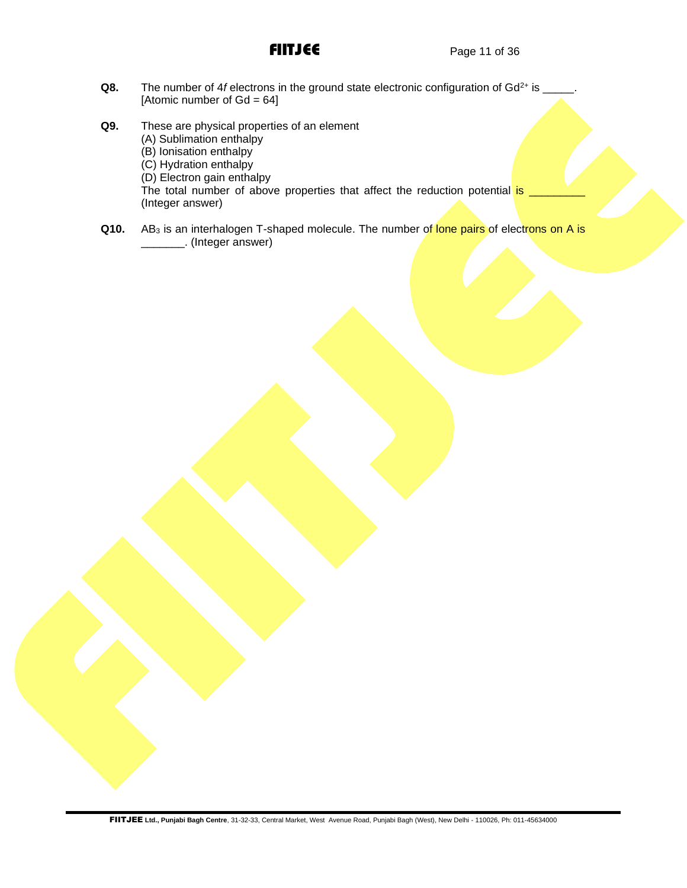- Q8. The number of 4*f* electrons in the ground state electronic configuration of Gd<sup>2+</sup> is \_\_\_ [Atomic number of  $Gd = 64$ ]
- **Q9.** These are physical properties of an element (A) Sublimation enthalpy (B) Ionisation enthalpy (C) Hydration enthalpy (D) Electron gain enthalpy The total number of above properties that affect the reduction potential is (Integer answer)
- **Q10.** AB<sub>3</sub> is an interhalogen T-shaped molecule. The number of lone pairs of electrons on A is \_\_\_\_\_\_\_. (Integer answer)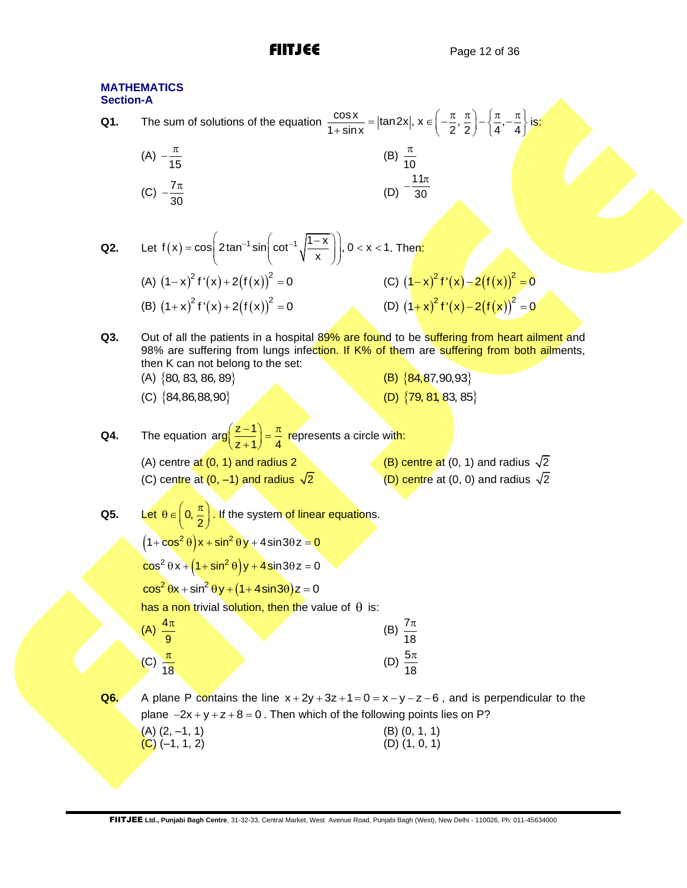| <b>Section-A</b> | <b>MATHEMATICS</b>                                                                                                                                                              |                                                                                                                                                                                       |
|------------------|---------------------------------------------------------------------------------------------------------------------------------------------------------------------------------|---------------------------------------------------------------------------------------------------------------------------------------------------------------------------------------|
| Q1.              | The sum of solutions of the equation $\frac{\cos x}{1+\sin x} =  \tan 2x , x \in \left(-\frac{\pi}{2}, \frac{\pi}{2}\right) - \left\{\frac{\pi}{4}, -\frac{\pi}{4}\right\}$ is: |                                                                                                                                                                                       |
|                  | (A) $-\frac{\pi}{15}$                                                                                                                                                           | (B) $\frac{\pi}{10}$                                                                                                                                                                  |
|                  | (C) $-\frac{7\pi}{30}$                                                                                                                                                          | $11\pi$<br>(D)<br>$\overline{30}$                                                                                                                                                     |
|                  |                                                                                                                                                                                 |                                                                                                                                                                                       |
| Q2.              | Let $f(x) = cos \left( 2 tan^{-1} sin \left( cot^{-1} \sqrt{\frac{1-x}{x}} \right) \right)$ , 0 < x < 1. Then:                                                                  |                                                                                                                                                                                       |
|                  | (A) $(1-x)^2 f'(x) + 2(f(x))^2 = 0$                                                                                                                                             | (C) $(1-x)^2 f'(x) - 2(f(x))^2 = 0$                                                                                                                                                   |
|                  | (B) $(1+x)^2 f'(x) + 2(f(x))^2 = 0$                                                                                                                                             | (D) $(1+x)^2 f'(x) - 2(f(x))^2 = 0$                                                                                                                                                   |
| Q3.              | then K can not belong to the set:                                                                                                                                               | Out of all the patients in a hospital 89% are found to be suffering from heart ailment and<br>98% are suffering from lungs infection. If K% of them are suffering from both ailments, |
|                  | $(A) \{80, 83, 86, 89\}$                                                                                                                                                        | (B) ${84,87,90,93}$                                                                                                                                                                   |
|                  | (C) ${84,86,88,90}$                                                                                                                                                             | (D) $\{79, 81, 83, 85\}$                                                                                                                                                              |
| Q4.              | The equation $\arg\left(\frac{z-1}{z+1}\right) = \frac{\pi}{4}$ represents a circle with:                                                                                       |                                                                                                                                                                                       |
|                  | (A) centre at (0, 1) and radius 2                                                                                                                                               | (B) centre at (0, 1) and radius $\sqrt{2}$                                                                                                                                            |
|                  | (C) centre at $(0, -1)$ and radius $\sqrt{2}$                                                                                                                                   | (D) centre at (0, 0) and radius $\sqrt{2}$                                                                                                                                            |
| Q5.              | Let $\theta \in \left(0, \frac{\pi}{2}\right)$ . If the system of linear equations.                                                                                             |                                                                                                                                                                                       |
|                  | $(1+\cos^2\theta)x+\sin^2\theta y+4\sin 3\theta z=0$                                                                                                                            |                                                                                                                                                                                       |
|                  | $\cos^2 \theta x + (1 + \sin^2 \theta)y + 4 \sin 3\theta z = 0$                                                                                                                 |                                                                                                                                                                                       |
|                  | $\cos^2 \theta x + \sin^2 \theta y + (1 + 4 \sin 3\theta) z = 0$                                                                                                                |                                                                                                                                                                                       |
|                  | has a non trivial solution, then the value of $\theta$ is:                                                                                                                      |                                                                                                                                                                                       |
|                  | (A) $\frac{4\pi}{9}$                                                                                                                                                            | (B) $\frac{7\pi}{18}$                                                                                                                                                                 |
|                  | (C) $\frac{\pi}{18}$                                                                                                                                                            | (D) $\frac{5\pi}{18}$                                                                                                                                                                 |
| Q6.              |                                                                                                                                                                                 | A plane P contains the line $x+2y+3z+1=0=x-y-z-6$ , and is perpendicular to the                                                                                                       |
|                  | plane $-2x + y + z + 8 = 0$ . Then which of the following points lies on P?<br>(A) (2, –1, 1)<br>(C) (–1, 1, 2)                                                                 | $(B)$ $(0, 1, 1)$<br>$(D)$ $(1, 0, 1)$                                                                                                                                                |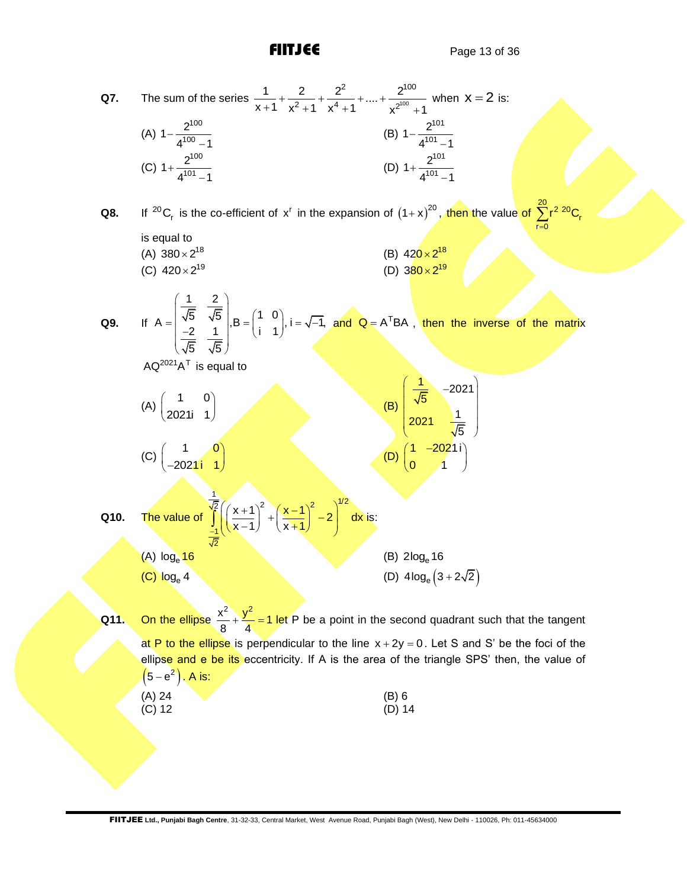**Q7.** The sum of the series  $\frac{1}{x+4} + \frac{1}{x^2+4} + \frac{1}{x^4+4} + ... + \frac{1}{x^{100}}$ 2  $2^{100}$  $\frac{2}{2}$  +  $\frac{2}{x^4+1}$  + .... +  $\frac{2}{x^2}$  $\frac{1}{x+1}$  +  $\frac{2}{x^2+1}$  +  $\frac{2^2}{x^4+1}$  + .... +  $\frac{2^{100}}{x^{2^{100}}+1}$  $+\frac{2}{12+1}+\frac{2^2}{14+1}+\dots+\frac{2^2}{2^{10}}$  $\frac{1}{x+1} + \frac{2}{x^2+1} + \frac{2}{x^4+1} + \dots + \frac{2}{x^{2^{100}}+1}$  when  $x = 2$  is: (A) 100 100  $1-\frac{2}{10}$  $4^{100} - 1$ − − (B) 101 101  $1-\frac{2}{10}$  $4^{101} - 1$ − − (C) 100 101  $1+\frac{2}{10}$  $4^{101} - 1$ + − (D) 101 101  $1+\frac{2}{10}$  $4^{101} - 1$ + − **Q8.** If <sup>20</sup>C<sub>r</sub> is the co-efficient of x<sup>r</sup> in the expansion of  $(1+x)^{20}$ , then the value of  $\sum^{20}$ r $^2$   $^{20}$ C<sub>i</sub>  $r = 0$  $r^2$ <sup>20</sup>C  $\sum_{r=0}$ is equal to (A)  $380 \times 2^{18}$ (B)  $420 \times 2^{18}$ (C)  $420 \times 2^{19}$ (D)  $380 \times 2^{19}$ **Q9.** If  $\frac{1}{2}$   $\frac{2}{3}$  $A = \begin{bmatrix} \frac{1}{\sqrt{5}} & \frac{2}{\sqrt{5}} \\ \frac{-2}{\sqrt{5}} & \frac{1}{\sqrt{5}} \end{bmatrix}, B = \begin{pmatrix} 1 & 0 \\ i & 1 \end{pmatrix}, i = \sqrt{-1},$  $\frac{2}{5}$   $\frac{1}{\sqrt{5}}$  $\left(\frac{1}{\sqrt{5}} \frac{2}{\sqrt{5}}\right)_{\mathbf{B} = \begin{pmatrix} 1 & 0 \end{pmatrix} i^{-1}$  $=$   $\begin{pmatrix} \frac{\sqrt{5}}{\sqrt{5}} & \frac{\sqrt{5}}{\sqrt{5}} \\ \frac{-2}{\sqrt{5}} & \frac{1}{\sqrt{5}} \end{pmatrix}$ ,  $B = \begin{pmatrix} 1 & 0 \\ i & 1 \end{pmatrix}$ ,  $i = \sqrt{-1}$ ,  $i = \sqrt{-1}$ and  $Q = A^{T}BA$ , then the inverse of the matrix  $AQ^{2021}A^{T}$  is equal to  $(A) \begin{pmatrix} 1 & 0 \\ 0 & 0 \end{pmatrix}$  $\begin{pmatrix} 1 & 0 \\ 2021i & 1 \end{pmatrix}$ (B)  $\frac{1}{5}$  -2021 5  $\frac{1}{2021}$ 5  $\left(\begin{array}{cc} \frac{1}{\sqrt{5}} & -2021 \end{array}\right)$   $\sqrt{2004}$  1  $\begin{pmatrix} 2021 & \sqrt{5} \end{pmatrix}$  $(C)$   $\begin{array}{c} 1 & 0 \\ 0 & 1 \end{array}$  $\begin{pmatrix} 1 & 0 \\ -2021i & 1 \end{pmatrix}$ (D)  $\begin{pmatrix} 1 & -2021i \\ 2 & 1 \end{pmatrix}$  $0 \qquad 1$ (1 –2021i)  $\begin{pmatrix} 0 & 1 \end{pmatrix}$ **Q10.** The value of  $\frac{1}{2} (y+1)^2 (y+1)^2$   $\left(\frac{1}{2}\right)^{1/2}$ 1 2  $\left(\frac{x+1}{x-1}\right)^2 + \left(\frac{x-1}{x-1}\right)^2 - 2\left(\frac{x^2}{x-1}\right)^2$  $\int_{-1}^{\frac{\sqrt{2}}{\sqrt{2}}} \left( \left( \frac{x+1}{x-1} \right)^2 + \left( \frac{x-1}{x+1} \right)^2 - 2 \right)^{1/2} dx$ is: (A) log<sub>e</sub> 16  $(B)$  2log<sub>e</sub> 16  $(C)$   $log_e 4$ (D)  $4\log_e(3+2\sqrt{2})$ **Q11.** On the ellipse  $\frac{x^2}{8} + \frac{y^2}{4} = 1$  let P be a point in the second quadrant such that the tangent at P to the ellipse is perpendicular to the line  $x + 2y = 0$ . Let S and S' be the foci of the ellipse and e be its eccentricity. If A is the area of the triangle SPS' then, the value of

| $(5-e^2)$ , A is: |  |  |
|-------------------|--|--|
|                   |  |  |

| (A) 24 | $(B)$ 6  |
|--------|----------|
| (C) 12 | $(D)$ 14 |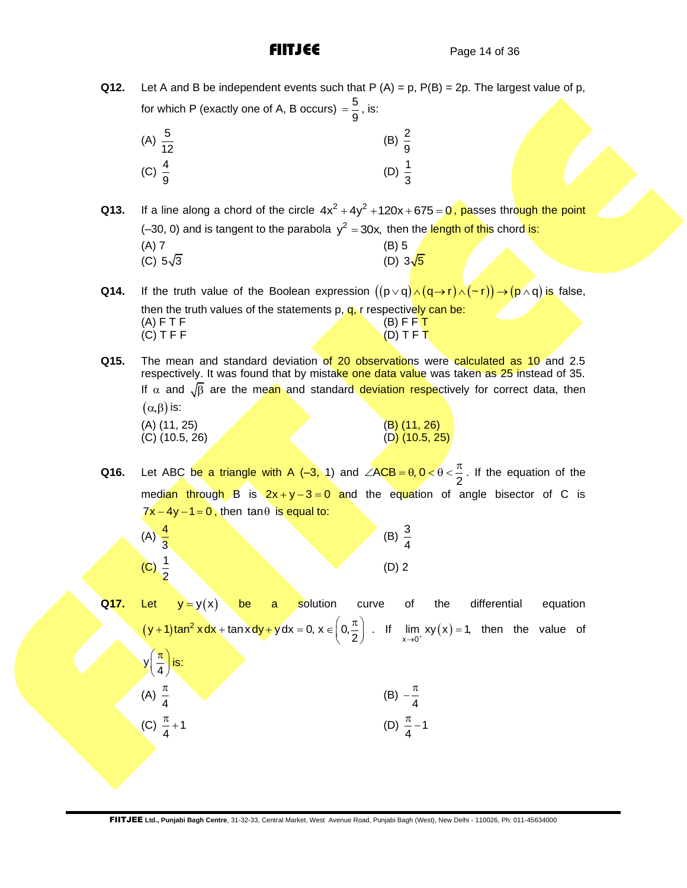**Q12.** Let A and B be independent events such that  $P(A) = p$ ,  $P(B) = 2p$ . The largest value of p, for which P (exactly one of A, B occurs) =  $\frac{5}{3}$  $=\frac{6}{6}$ , is:

|                    |  | . . | $\overline{\phantom{a}}$<br>Q |                   |
|--------------------|--|-----|-------------------------------|-------------------|
| (A) $\frac{5}{12}$ |  |     |                               | (B) $\frac{2}{9}$ |
| (C) $\frac{4}{9}$  |  |     |                               | (D) $\frac{1}{3}$ |

**Q13.** If a line along a chord of the circle  $4x^2 + 4y^2 + 120x + 675 = 0$ , passes through the point (-30, 0) and is tangent to the parabola  $y^2 = 30x$ , then the length of this chord is:

| (A) 7           | (B) 5           |
|-----------------|-----------------|
| (C) $5\sqrt{3}$ | (D) $3\sqrt{5}$ |

**Q14.** If the truth value of the Boolean expression  $((p \lor q) \land (q \to r) \land (\sim r)) \to (p \land q)$  is false, then the truth values of the statements  $p, q, r$  respectively can be: (A) F T F  $(B)$  F F T  $(D)$  T F T  $(D)$  T F T  $(C)$  T F F

**Q15.** The mean and standard deviation of 20 observations were calculated as 10 and 2.5 respectively. It was found that by mistake one data value was taken as 25 instead of 35. If  $\alpha$  and  $\sqrt{\beta}$  are the mean and standard deviation respectively for correct data, then  $(\alpha, \beta)$  is: (A) (11, 25) (B) (11, 26) (C) (10.5, 26)  $(C)$  (10.5, 26)

**Q16.** Let ABC be a triangle with A  $(-3, 1)$  and  $\angle ACB = \theta, 0 < \theta < \frac{\pi}{2}$  $\angle ACB = \theta, 0 < \theta < \frac{\pi}{6}$ . If the equation of the median through B is  $2x+y-3=0$  and the equation of angle bisector of C is  $7x - 4y - 1 = 0$ , then tan $\theta$  is equal to:

| (A) $\frac{4}{3}$ |  |  | (B) $\frac{3}{4}$ |
|-------------------|--|--|-------------------|
| (C) $\frac{1}{2}$ |  |  | $(D)$ 2           |

**Q17.** Let  $y = y(x)$  be a solution curve of the differential equation  $(y + 1)$ tan<sup>2</sup>  $y + 1$ ) tan<sup>2</sup> x dx + tan x dy + y dx = 0, x  $\in \left(0, \frac{\pi}{2}\right)$  $y = y(x)$  be a solution curve<br>+1)tan<sup>2</sup> xdx + tan xdy + ydx = 0, x  $\in \left(0, \frac{\pi}{2}\right)$ . If If  $\lim_{x\to 0^+} xy(x) = 1$ , then the value of  $y\left(\frac{\pi}{4}\right)$  $(\pi)$  $\left(\frac{\pi}{4}\right)$  is:

(A) 
$$
\frac{\pi}{4}
$$
 \t\t (B)  $-\frac{\pi}{4}$   
(C)  $\frac{\pi}{4}+1$  \t\t (D)  $\frac{\pi}{4}-1$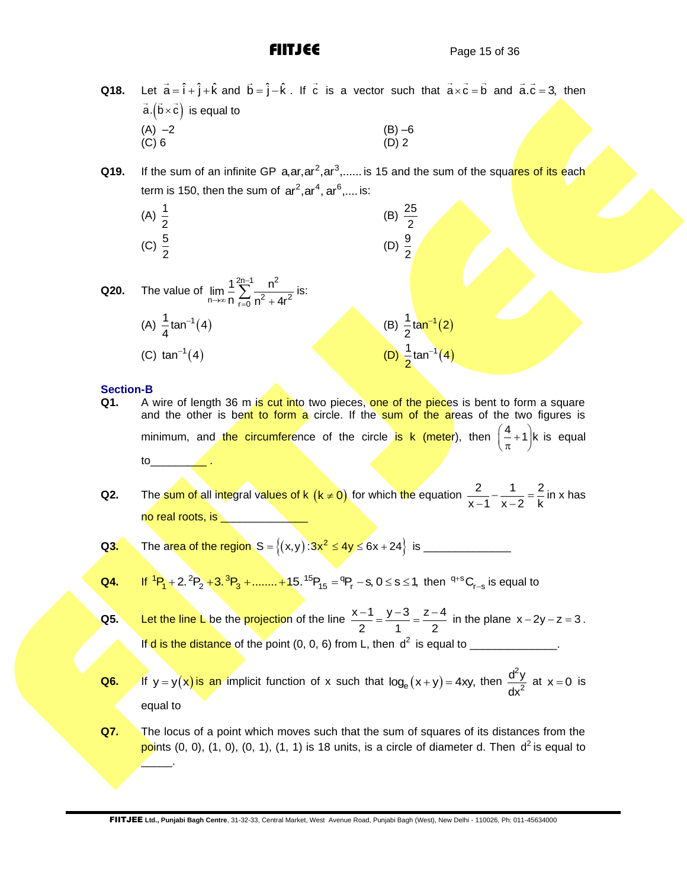- **Q18.**  $\vec{a} = \hat{i} + \hat{j} + \hat{k}$  and  $\vec{b} = \hat{j} - \hat{k}$ . If  $\vec{c}$  is a vector such that  $\vec{a} \times \vec{c} = \vec{b}$  and  $\vec{a} \cdot \vec{c} = 3$ , then a. $(b \times c)$  is equal to (A)  $-2$  (B)  $-6$ <br>(C) 6 (D) 2  $(C) 6$  (D) 2
- **Q19.** If the sum of an infinite GP a,ar,ar<sup>2</sup>,ar<sup>3</sup>,...... is 15 and the sum of the squares of its each term is 150, then the sum of  $ar^2$ , ar<sup>4</sup>, ar<sup>6</sup>,.... is:

(A) 
$$
\frac{1}{2}
$$
 \t\t (B)  $\frac{25}{2}$    
 (C)  $\frac{5}{2}$  \t\t (D)  $\frac{9}{2}$ 

**Q20.** The value of 
$$
\lim_{n \to \infty} \frac{1}{n} \sum_{r=0}^{2n-1} \frac{n^2}{n^2 + 4r^2}
$$
 is:  
\n(A)  $\frac{1}{4} \tan^{-1}(4)$  (B)  $\frac{1}{2} \tan^{-1}(2)$   
\n(C)  $\tan^{-1}(4)$  (D)  $\frac{1}{2} \tan^{-1}(4)$ 

### **Section-B**

 $\overline{\phantom{a}}$  .

- **Q1.** A wire of length 36 m is cut into two pieces, one of the pieces is bent to form a square and the other is bent to form a circle. If the sum of the areas of the two figures is minimum, and the circumference of the circle is k (meter), then  $\left(\frac{4}{\pi}+1\right)$ k is equal to\_\_\_\_\_\_\_\_\_ .
- **Q2.** The sum of all integral values of k  $(k \neq 0)$  for which the equation  $\frac{2}{n} \frac{1}{n} = \frac{2}{n}$  $x-1$   $x-2$  k  $\frac{2}{-1} - \frac{1}{x-2} = \frac{2}{k}$  in x has no real roots, is

**Q3.** The area of the region 
$$
S = \{(x,y): 3x^2 \le 4y \le 6x + 24\}
$$
 is \_\_\_\_\_\_\_

- **Q4.** If  $^{1}P_{1}$  + 2.  $^{2}P_{2}$  + 3.  $^{3}P_{3}$  + ........ + 15.  $^{15}P_{15}$  =  $^{9}P_{r}$  − s, 0 ≤ s ≤ 1, then  $^{q+s}C_{r-s}$  is equal to
- **Q5.** Let the line L be the projection of the line  $\frac{x-1}{2} = \frac{y-3}{4} = \frac{z-4}{4}$  $\frac{2}{2}$   $\frac{1}{1}$   $\frac{2}{2}$  $\frac{-1}{2} = \frac{y-3}{4} = \frac{z-4}{2}$  in the plane  $x - 2y - z = 3$ . If  $d$  is the distance of the point  $(0, 0, 6)$  from L, then  $d^2$  is equal to \_\_\_\_\_\_\_\_\_\_\_\_\_\_.
- **Q6.** If  $y = y(x)$  is an implicit function of x such that  $log_e(x + y) = 4xy$ , then  $\overline{2}$ 2 d<sup>2</sup>y dx at  $x = 0$  is equal to
- **Q7.** The locus of a point which moves such that the sum of squares of its distances from the points (0, 0), (1, 0), (0, 1), (1, 1) is 18 units, is a circle of diameter d. Then d<sup>2</sup> is equal to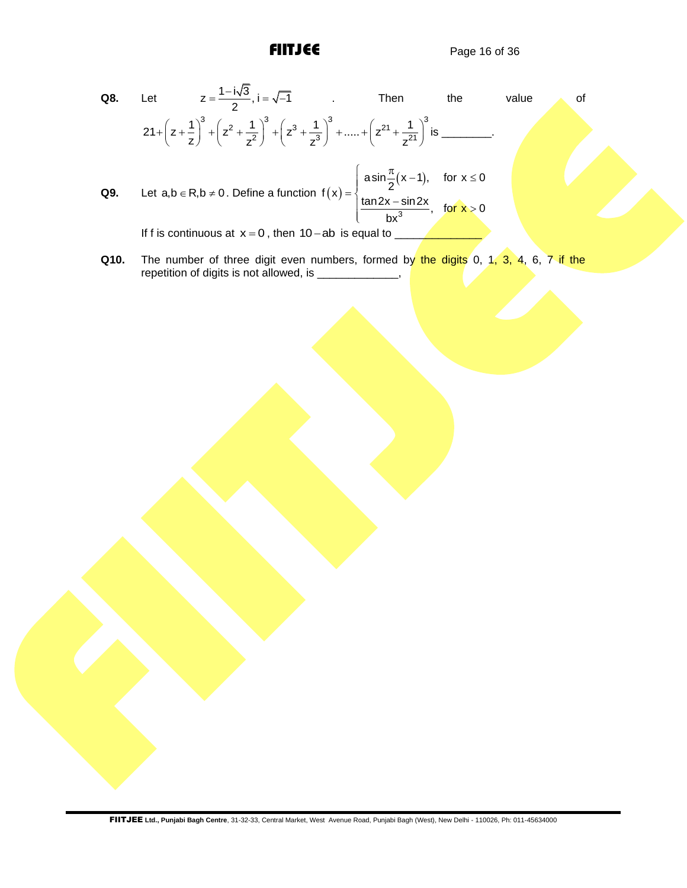- **Q8.** Let  $z = \frac{1 i\sqrt{3}}{2}$ ,  $i = \sqrt{-1}$  $z = \frac{1 - i\sqrt{3}}{2}$ ,  $i = \sqrt{-1}$  Then the value of  $+\left(z^2 + \frac{1}{2}\right)^3 + \left(z^3 + \frac{1}{2}\right)^3 + \dots + \left(z^{21} + \frac{1}{21}\right)^3$  is Let  $z = \frac{1}{2}$ ,  $1 = \sqrt{-1}$  . Ihen<br>  $21 + \left(z + \frac{1}{z}\right)^3 + \left(z^2 + \frac{1}{z^2}\right)^3 + \left(z^3 + \frac{1}{z^3}\right)^3 + \dots + \left(z^{21} + \frac{1}{z^{21}}\right)^3$  $\left(\frac{1}{z}\right)^3 + \left(z^2 + \frac{1}{z^2}\right)^3 + \left(z^3 + \frac{1}{z^3}\right)^3 + \dots + \left(z^{21} + \frac{1}{z^2}\right)^3$  $z = \frac{z}{2}, i = \sqrt{-1}$  . Ihen the<br>+  $\left(z + \frac{1}{z}\right)^3 + \left(z^2 + \frac{1}{z^2}\right)^3 + \left(z^3 + \frac{1}{z^3}\right)^3 + \dots + \left(z^{21} + \frac{1}{z^{21}}\right)^3$  is \_\_\_\_\_ is \_\_\_\_\_\_\_\_. **Q9.** Let  $a,b \in R, b \neq 0$ . Define a function  $f(x)$  $(x - 1)$ 3  $f(x) = \begin{cases} \text{asin} \frac{\pi}{2} (x-1), & \text{for } x \le 0 \\ \frac{\tan 2x - \sin 2x}{bx^3}, & \text{for } x > 0 \end{cases}$  $= \begin{cases} \text{asin} \frac{\pi}{2} (x-1), & \text{for } x \leq 0 \\ \frac{\tan 2x - \sin 2x}{2}, & \text{for } x > 0 \end{cases}$  $\overline{\mathcal{L}}$ If f is continuous at  $x = 0$ , then 10 - ab is equal to \_\_\_\_\_\_\_\_\_\_\_\_\_\_\_\_\_\_\_\_\_\_\_\_\_\_
- **Q10.** The number of three digit even numbers, formed by the digits 0, 1, 3, 4, 6, 7 if the repetition of digits is not allowed, is \_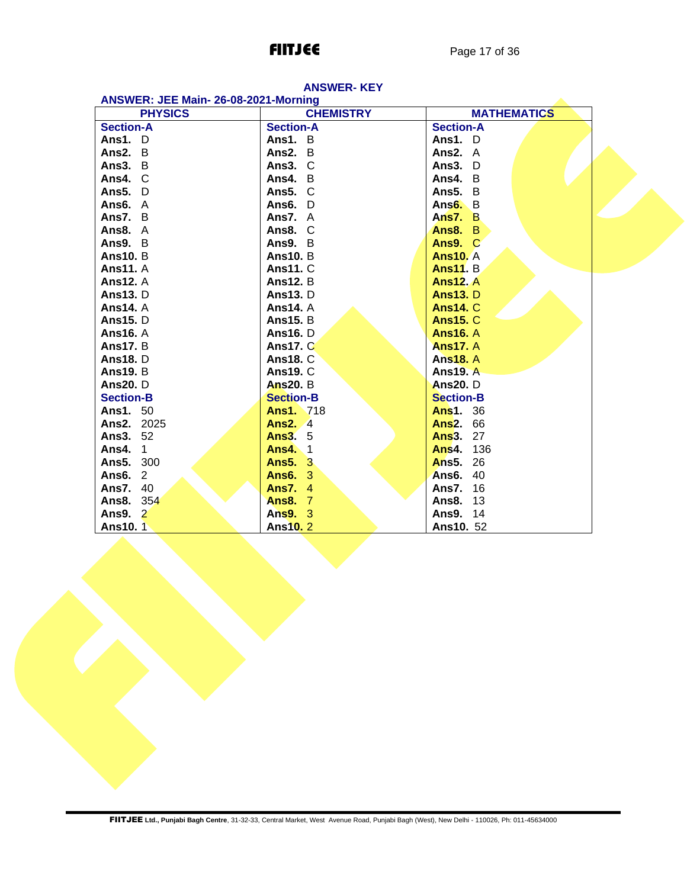| ANSWER: JEE Main-26-08-2021-Morning |                  |                    |  |  |  |  |  |
|-------------------------------------|------------------|--------------------|--|--|--|--|--|
| <b>PHYSICS</b>                      | <b>CHEMISTRY</b> | <b>MATHEMATICS</b> |  |  |  |  |  |
| <b>Section-A</b>                    | <b>Section-A</b> | <b>Section-A</b>   |  |  |  |  |  |
| Ans1. $D$                           | Ans1. $B$        | Ans1. $D$          |  |  |  |  |  |
| Ans2. B                             | Ans2. B          | Ans2. A            |  |  |  |  |  |
| Ans3. B                             | Ans3. C          | Ans3. D            |  |  |  |  |  |
| Ans4. C                             | Ans4. B          | Ans4. B            |  |  |  |  |  |
| Ans5. D                             | Ans5. C          | Ans5. B            |  |  |  |  |  |
| Ans6. A                             | Ans6. D          | Ans $6. B$         |  |  |  |  |  |
| Ans7. B                             | Ans $7. A$       | Ans $7. B$         |  |  |  |  |  |
| Ans8. A                             | Ans8. C          | Ans8. B            |  |  |  |  |  |
| Ans9. B                             | Ans $9. B$       | Ans9. C            |  |  |  |  |  |
| <b>Ans10.</b> B                     | <b>Ans10. B</b>  | <b>Ans10. A</b>    |  |  |  |  |  |
| <b>Ans11.</b> A                     | <b>Ans11. C</b>  | <b>Ans11. B.</b>   |  |  |  |  |  |
| <b>Ans12. A</b>                     | <b>Ans12. B</b>  | <b>Ans12. A</b>    |  |  |  |  |  |
| <b>Ans13.</b> D                     | <b>Ans13.</b> D  | <b>Ans13.</b> D    |  |  |  |  |  |
| <b>Ans14.</b> A                     | <b>Ans14. A</b>  | <b>Ans14. C</b>    |  |  |  |  |  |
| <b>Ans15.</b> D                     | <b>Ans15. B</b>  | <b>Ans15. C</b>    |  |  |  |  |  |
| <b>Ans16. A</b>                     | <b>Ans16.</b> D  | <b>Ans16. A</b>    |  |  |  |  |  |
| <b>Ans17.</b> B                     | <b>Ans17. C</b>  | <b>Ans17. A</b>    |  |  |  |  |  |
| <b>Ans18.</b> D                     | <b>Ans18. C</b>  | <b>Ans18. A</b>    |  |  |  |  |  |
| <b>Ans19. B</b>                     | <b>Ans19. C</b>  | <b>Ans19. A</b>    |  |  |  |  |  |
| <b>Ans20.</b> D                     | <b>Ans20.</b> B  | <b>Ans20.</b> D    |  |  |  |  |  |
| <b>Section-B</b>                    | <b>Section-B</b> | <b>Section-B</b>   |  |  |  |  |  |
| <b>Ans1. 50</b>                     | <b>Ans1.</b> 718 | <b>Ans1.</b> 36    |  |  |  |  |  |
| <b>Ans2. 2025</b>                   | <b>Ans2.</b> 4   | <b>Ans2. 66</b>    |  |  |  |  |  |
| <b>Ans3. 52</b>                     | <b>Ans3. 5</b>   | <b>Ans3. 27</b>    |  |  |  |  |  |
| <b>Ans4.</b> 1                      | <b>Ans4</b> 1    | <b>Ans4. 136</b>   |  |  |  |  |  |
| <b>Ans5. 300</b>                    | <b>Ans5. 3</b>   | <b>Ans5. 26</b>    |  |  |  |  |  |
| <b>Ans6. 2</b>                      | <b>Ans6. 3</b>   | <b>Ans6. 40</b>    |  |  |  |  |  |
| <b>Ans7. 40</b>                     | <b>Ans7. 4</b>   | 16<br>Ans7.        |  |  |  |  |  |
| Ans8. 354                           | <b>Ans8. 7</b>   | Ans8.<br>13        |  |  |  |  |  |
| Ans9. 2                             | Ans9. 3          | <b>Ans9. 14</b>    |  |  |  |  |  |
| Ans10. 1                            | <b>Ans10.2</b>   | Ans10. 52          |  |  |  |  |  |

# **ANSWER- KEY**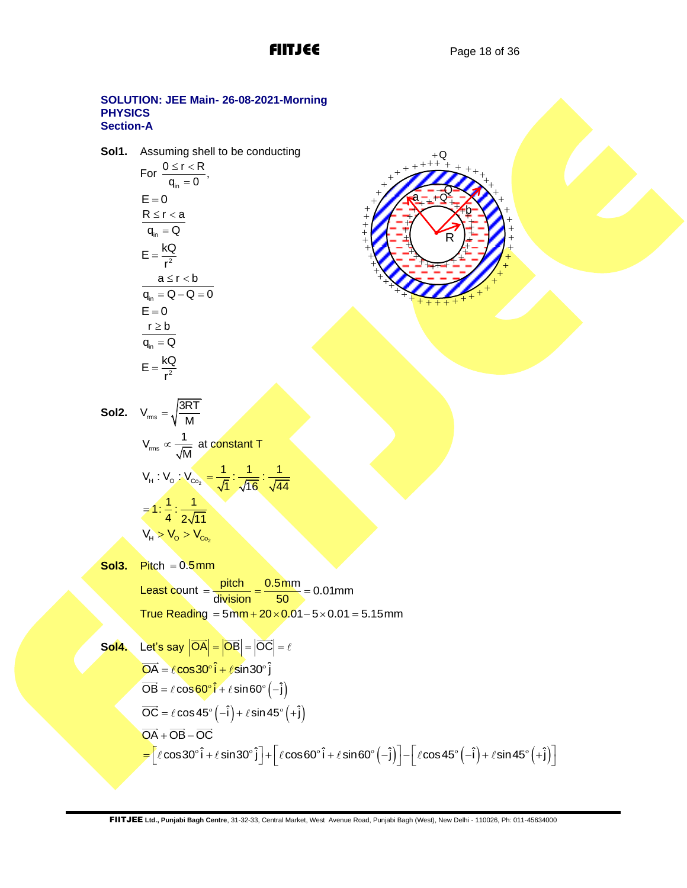R

 $+ + + + +$ 

 $\mathbf{H}$ + + + + + + + + + +  $\overline{J}$  $+ + + + +$ 

 $\ddot{\textbf{t}}$  $+$  $+$  $+$ +  $^{+}$  $+$  $^{+}$ + +  $+$ + +  $+$  $+$ + + + + +  $+ + +$ 

+ +  $\pm$ + + +  $\mathbf{f}$ +  $\bigoplus$  b

+ +  $^{+}$ + + + + + + + + + + + +  $+$ 

 $+ + +$ 

−Q a\_\_+Q

 $+Q$ 

### **SOLUTION: JEE Main- 26-08-2021-Morning PHYSICS Section-A**

**Sol1.** Assuming shell to be conducting

$$
\begin{aligned} &\text{For } \frac{0 \leq r < R}{q_{\text{in}} = 0}, \\ &\text{E} = 0 \\ &\text{R} \leq r < a \\ &\text{H}_{\text{in}} = Q \\ &\text{E} = \frac{kQ}{r^2} \\ &\text{a} \leq r < b \\ &\text{H}_{\text{in}} = Q - Q = 0 \\ &\text{E} = 0 \\ &\text{F} \geq b \\ &\text{H}_{\text{in}} = Q \\ &\text{E} = \frac{kQ}{r^2} \end{aligned}
$$

Sol2. 
$$
V_{\text{rms}} = \sqrt{\frac{3RT}{M}}
$$

$$
V_{\text{rms}} \propto \frac{1}{\sqrt{M}} \text{ at constant T}
$$

$$
V_{\text{H}} : V_{\text{O}} : V_{\text{Co}_2} = \frac{1}{\sqrt{1}} : \frac{1}{\sqrt{16}} : \frac{1}{\sqrt{44}}
$$

$$
= 1 : \frac{1}{4} : \frac{1}{2\sqrt{11}}
$$

$$
V_{\text{H}} > V_{\text{O}} > V_{\text{Co}_2}
$$

**Sol3.** Pitch = 0.5mm Least count  $=$   $\frac{\text{pitch}}{\text{...}} = \frac{0.5 \text{mm}}{\text{...}} = 0.01 \text{mm}$  $\frac{p_{\text{test}}}{\text{division}} = \frac{9.811}{50}$  $=\frac{\text{pitch}}{\text{div}_i \cdot \text{eisen}} = \frac{0.5 \text{mm}}{50} = 0.0$  $T$ rue Reading = 5mm +  $20 \times 0.01 - 5 \times 0.01 = 5.15$ mm

**Sol4.** Let's say 
$$
|\overrightarrow{OA}| = |\overrightarrow{OB}| = |\overrightarrow{OC}| = \ell
$$
  
\n $\overrightarrow{OA} = \ell \cos 30^\circ \hat{i} + \ell \sin 30^\circ \hat{j}$   
\n $\overrightarrow{OB} = \ell \cos 60^\circ \hat{i} + \ell \sin 60^\circ (-\hat{j})$   
\n $\overrightarrow{OC} = \ell \cos 45^\circ (-\hat{i}) + \ell \sin 45^\circ (+\hat{j})$   
\n $\overrightarrow{OA} + \overrightarrow{OB} - \overrightarrow{OC}$   
\n $= [\ell \cos 30^\circ \hat{i} + \ell \sin 30^\circ \hat{j}] + [\ell \cos 60^\circ \hat{i} + \ell \sin 60^\circ (-\hat{j})] - [\ell \cos 45^\circ (-\hat{i}) + \ell \sin 45^\circ (+\hat{j})]$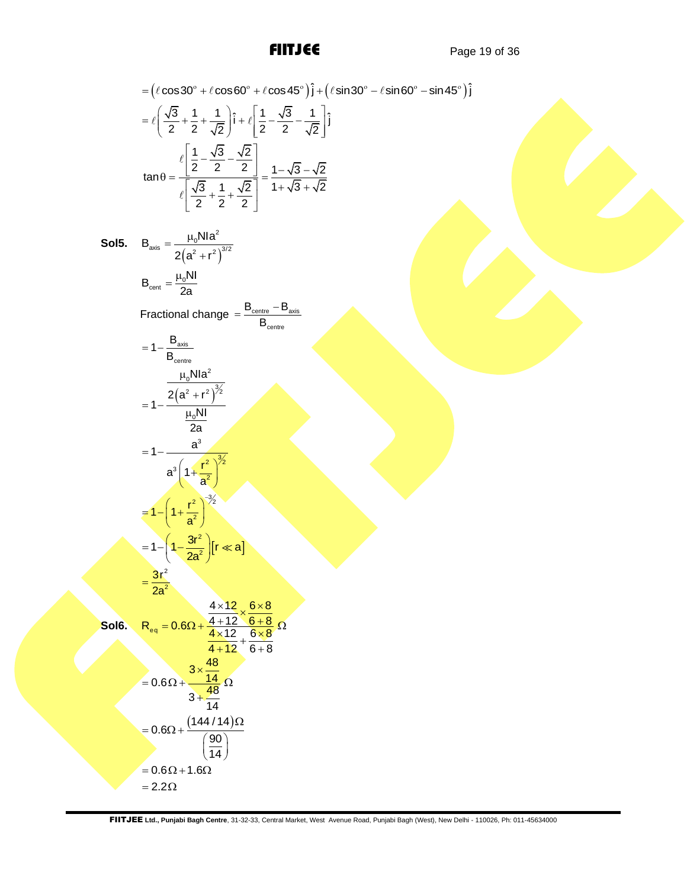= 
$$
(\cos 30^\circ + \cos 60^\circ + \cos 60^\circ + \cos 45^\circ)\hat{i} + (\sin 30^\circ - \sin 60^\circ - \sin 45^\circ)\hat{j}
$$
  
\n=  $(\frac{\sqrt{3}}{2} + \frac{1}{2} + \frac{1}{\sqrt{2}})\hat{i} + \hat{k}[\frac{1}{2} - \frac{\sqrt{3}}{2} - \frac{1}{\sqrt{2}}]\hat{j}$   
\n $tan \theta = \frac{\left[\frac{1}{2} - \frac{\sqrt{3}}{2} - \frac{\sqrt{2}}{2}\right]}{\left[\frac{\sqrt{3}}{2} + \frac{1}{2} + \frac{\sqrt{2}}{2}\right]} = \frac{1 - \sqrt{3} - \sqrt{2}}{1 + \sqrt{3} + \sqrt{2}}$   
\nSol5.  $B_{\text{net}} = \frac{\mu_0 N I a^2}{2 I a}$   
\n $B_{\text{ext}} = \frac{2 I_0 N I a^2}{2 I a}$   
\nFractional change =  $\frac{B_{\text{ext}} - B_{\text{ext}}}{B_{\text{ext}}}$   
\n=  $1 - \frac{a^3}{I_0 N I a^2}$   
\n=  $1 - \frac{a^3}{I_0 N I a^2}$   
\n=  $1 - \frac{a^3}{I_0 N I a^2}$   
\n=  $1 - \left(1 + \frac{t^2}{a^2}\right)^{3/2}$   
\n=  $1 - \left(1 + \frac{t^2}{a^2}\right)^{3/2}$   
\n=  $1 - \left(1 + \frac{t^2}{a^2}\right)^{3/2}$   
\n=  $1 - \left(1 + \frac{t^2}{2a^2}\right) [t \ll a]$   
\n=  $0.6 \Omega + \frac{4 \times 12}{4 \times 12} \cdot \frac{6 \times 8}{6 \times 8}$   
\n=  $0.6 \Omega + \frac{4 \times 12}{3} \cdot \frac{6 \times 8}{4 \times 12} \cdot \frac{6 \times 8}{6 \times 8}$   
\n=  $0.6 \Omega + \frac{3.48}{3 + 49} \cdot \Omega$   
\n=  $0.6 \Omega + \frac{1.44}{3 + 49} \cdot \Omega$   
\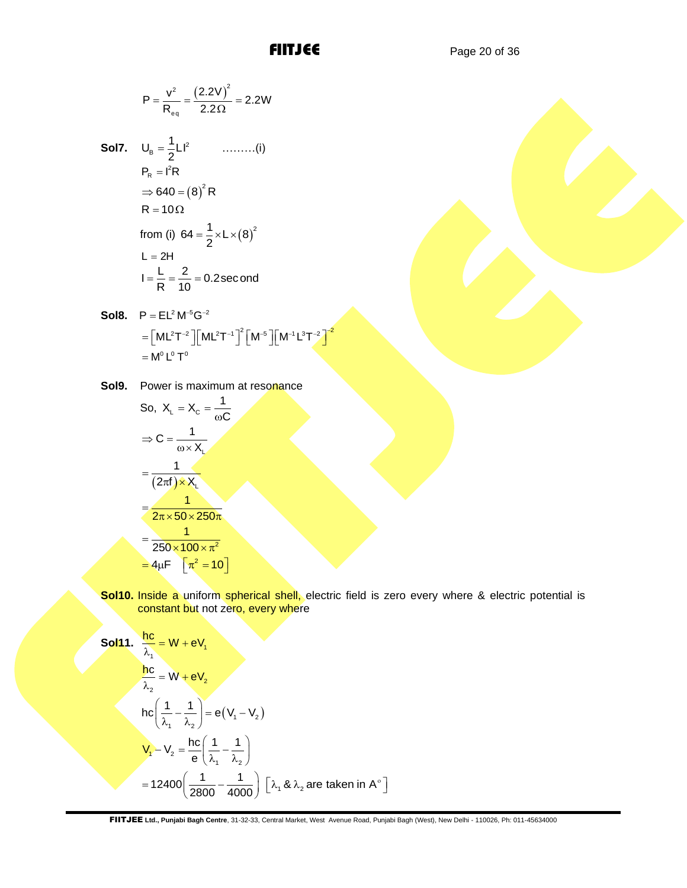$$
P = \frac{v^2}{R_{eq}} = \frac{(2.2V)^2}{2.2\Omega} = 2.2W
$$

- **Sol7.**  $U_{\rm B} = \frac{1}{2}LI^2$  $U_{\rm B} = \frac{1}{2}LI$  $=\frac{1}{2}LI^2$  ..........(i)  $P_R = I^2 R$  $\Rightarrow$  640 =  $(8)^2$  R  $R = 10 \Omega$ from (i)  $64 = \frac{1}{2} \times L \times (8)^2$  $=\frac{1}{2} \times L \times ($  $L = 2H$  $I = \frac{L}{R} = \frac{2}{10} = 0.2$  second  $=\frac{L}{R}=\frac{2}{4R}=0.$
- **Sol8.**  $P = EL^2 M^{-5} G^{-2}$ \_\_ ... \_<br>ML<sup>2</sup>T<sup>-2</sup> ][ML<sup>2</sup>T<sup>-1</sup>]<sup>2</sup>[M<sup>-5</sup>][M<sup>-1</sup>L<sup>3</sup>T<sup>-2</sup>]<sup>-2</sup>  $=[ML^2T^{-2}][ML^2T^{-1}]^2[M^{-5}][M^{-1}L^3T^{-2}]^{-2}$  $=$  M $^{\circ}$  L $^{\circ}$  T $^{\circ}$
- **Sol9.** Power is maximum at resonance

So, 
$$
X_L = X_C = \frac{1}{\omega C}
$$
  
\n
$$
\Rightarrow C = \frac{1}{\omega \times X_L}
$$
\n
$$
= \frac{1}{(2\pi f) \times X_L}
$$
\n
$$
= \frac{1}{2\pi \times 50 \times 250\pi}
$$
\n
$$
= \frac{1}{250 \times 100 \times \pi^2}
$$
\n
$$
= 4\mu F \left[\pi^2 = 10\right]
$$

**Sol10.** Inside a uniform spherical shell, electric field is zero every where & electric potential is constant but not zero, every where

P = 
$$
\frac{v^2}{R_{eq}} = \frac{(2.2V)^2}{2.2\Omega} = 2.2W
$$
  
\n**So17.** U<sub>0</sub> =  $\frac{1}{2}LI^2$  .........(i)  
\nP<sub>n</sub> = i<sup>2</sup>R  
\n $\Rightarrow$  640 = (8)<sup>2</sup>R  
\nR = 10 $\Omega$   
\nfrom (i) 64 =  $\frac{1}{2} \times L \times (8)^2$   
\nL = 2H  
\n $I = \frac{L}{R} = \frac{2}{10} = 0.2$  second  
\n**S018.** P = EL<sup>2</sup> M<sup>-6</sup>G<sup>-2</sup>  
\n= [ML<sup>2</sup>T<sup>-2</sup>][[ML<sup>2</sup>T<sup>-1</sup>]<sup>2</sup>[M<sup>-5</sup>][M<sup>-1</sup>L<sup>2</sup>T<sup>-2</sup><sup>3</sup>  
\n= M<sup>1</sup>L<sup>-1</sup>T<sup>9</sup>  
\n**S019.** Power is maximum at resonance  
\nSo, X<sub>L</sub> = X<sub>C</sub> =  $\frac{1}{\omega C}$   
\n $\Rightarrow C = \frac{1}{\omega \times X}$   
\n $= \frac{1}{(2\pi f) \times X}$   
\n $= \frac{1}{2\pi \times 50 \times 250\pi}$   
\n $= \frac{1}{250 \times 100 \times \pi^2}$   
\n**S0110.** Inside a uniform spherical shell, electric field is zero every where & electric poter constant but not zero, every where  
\n**S0111.**  $\frac{hc}{\lambda_1} = W + eV$ ,  
\n $\frac{hc}{\lambda_2} = W + eV$ ,  
\n $\frac{hc}{\lambda_1} = W + eV$ ,  
\n $\frac{hc}{\lambda_2} = W + eV$ ,  
\n $V_1 - V_2 = \frac{hc}{e} (\frac{1}{\lambda_1} - \frac{1}{\lambda_2})$   
\n $= 12400 (\frac{1}{2810} - \frac{1}{4000}) [\lambda_1 \& \lambda_2$  are taken in A<sup>-1</sup>]  
\n**FTJIEL** Ud, P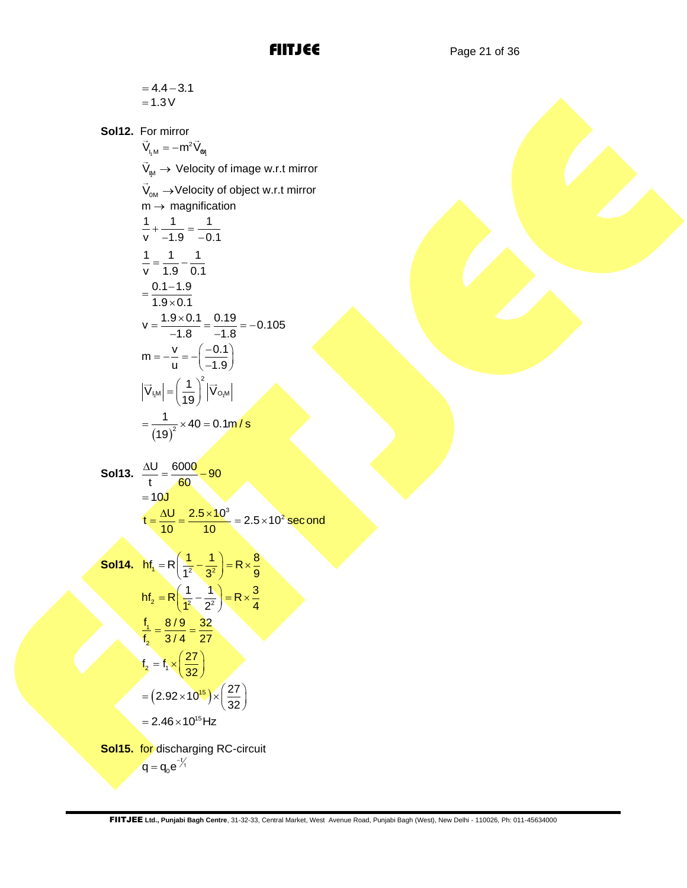$$
=4.4-3.1
$$

$$
=1.3\,\mathrm{V}
$$

**Sol12.** For mirror  $V_{L, M} = -m^2 V_{\text{eq}}$  $\mathsf{V}_{\scriptscriptstyle\mathsf{I\!M}}\rightarrow \mathsf{Velocity~of~image~w.r.t~mirror}$  $\mathsf{V}_{\mathsf{om}}\to\mathsf{Velocity}$  of object w.r.t mirror  $m \rightarrow$  magnification 1 1 1  $\frac{1}{v} + \frac{1}{-1.9} = \frac{1}{-0.1}$ 1 1 1 v 1.9 0.1  $=\frac{1}{1.8} 0.1 - 1.9$  $1.9 \times 0.1$  $=\frac{0.1-}{1.9\times}$  $v = \frac{1.9 \times 0.1}{-1.8} = \frac{0.19}{-1.8} = -0.105$  $m = -\frac{v}{u} = -\left(\frac{-0.1}{-1.9}\right)$  $=-\frac{v}{u}=-\left(\frac{-0.1}{-1.9}\right)$  $|1^{|W|} - |100| + |1001|$ 2  $\left|\overrightarrow{V}_{l,M}\right| = \left(\frac{1}{19}\right)^2 \left|\overrightarrow{V}_{Q_{1}M}\right|$  $=\left(\frac{1}{19}\right)^2 |\vec{V}_{O,M}|$  ${(19)}^2$  $\frac{1}{2}$  × 40 = 0.1m/s 19  $=\frac{1}{(1-2)^2} \times 40 = 0$ 

**Sol13.** 
$$
\frac{\Delta U}{t} = \frac{6000}{60} = 90
$$

$$
= 10J
$$

$$
t = \frac{\Delta U}{10} = \frac{2.5 \times 10^3}{10} = 2.5 \times 10^2 \text{ second}
$$

**Sol14.** 
$$
hf_1 = R\left(\frac{1}{1^2} - \frac{1}{3^2}\right) = R \times \frac{8}{9}
$$
  
\n $hf_2 = R\left(\frac{1}{1^2} - \frac{1}{2^2}\right) = R \times \frac{3}{4}$   
\n $\frac{f_1}{f_2} = \frac{8/9}{3/4} = \frac{32}{27}$   
\n $f_2 = f_1 \times \left(\frac{27}{32}\right)$   
\n $= (2.92 \times 10^{15}) \times \left(\frac{27}{32}\right)$   
\n $= 2.46 \times 10^{15} Hz$   
\n**Sol15.** for discharging RC-circuit

$$
q = q_0 e^{-t/2}
$$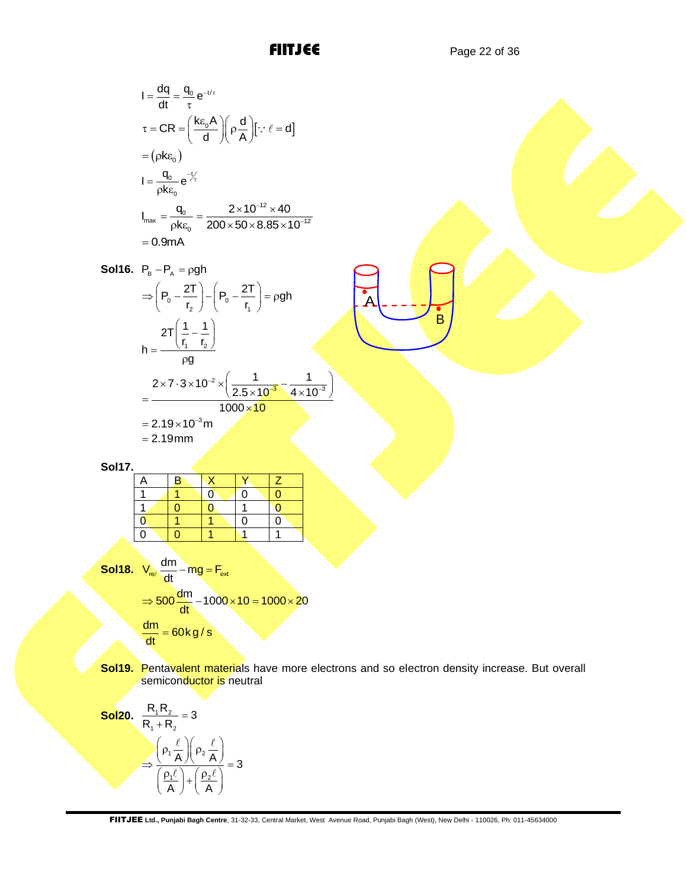B

A

$$
I = \frac{dq}{dt} = \frac{q_0}{\tau} e^{-t/\tau}
$$
  
\n
$$
\tau = CR = \left(\frac{k\epsilon_0 A}{d}\right) \left(\rho \frac{d}{A}\right) [\because \ell = d]
$$
  
\n
$$
= (\rho k \epsilon_0)
$$
  
\n
$$
I = \frac{q_0}{\rho k \epsilon_0} e^{-\frac{t}{\tau}}
$$
  
\n
$$
I_{max} = \frac{q_0}{\rho k \epsilon_0} = \frac{2 \times 10^{-12} \times 40}{200 \times 50 \times 8.85 \times 10^{-12}}
$$
  
\n
$$
= 0.9 mA
$$

I = 
$$
\frac{dq}{dt} = \frac{q_0}{\tau} e^{-\frac{t}{\tau}}
$$
  
\n $\tau = CR = \left[\frac{(k_{\text{G}}A)}{d}\right] (\rho \frac{d}{A}) [\because i = d]$   
\n $= (\rho k c_0)$   
\n $I = \frac{q_0}{\rho k c_0} e^{-\frac{kt}{\tau}}$   
\n $I_{\text{max}} = \frac{q_0}{\rho k c_0} = \frac{2 \times 10^{-12} \times 40}{200 \times 50 \times 8.85 \times 10^{-12}}$   
\n $= 0.9 \text{ mA}$   
\n**Sol16.** P<sub>0</sub> - P<sub>1</sub> = pgh  
\n $\Rightarrow \left(\rho_0 - \frac{2T}{r_2}\right) - \left(\rho_0 - \frac{2T}{r_1}\right) = pgh$   
\n $\frac{2T\left(\frac{1}{r_1} - \frac{1}{r_2}\right)}{r} \right)$   
\n $= \frac{2.19 \times 10^{-3} \text{ m}}{1000 \times 10}$   
\n $= 2.19 \times 10^{-3} \text{ m}$   
\n**Sol17.**  
\n $\frac{A}{1} = \frac{B}{0} \frac{X}{0} \frac{Y}{0} \frac{Y}{1} \frac{Z}{2.5 \times 10^{-3}} = \frac{1}{4 \times 10^{-3}}$   
\n**Sol18.** V<sub>air</sub>  $\frac{dm}{dt} = mg = F_{air}$   
\n $\Rightarrow$  **Sol18.** V<sub>air</sub>  $\frac{dm}{dt} = \frac{m}{1000 \times 10} = \frac{1000 \times 20}{1000 \times 10} = \frac{1000 \times 20}{\frac{dm}{dt}} = \frac{60 \text{ kg/s}}{\frac{m}{R} + R_2} = 3$   
\n**Sol19.** Penfavalent materials have more electrons and so electron density increase. But of  
\n**Sol20.**  $\frac{R_1 R_2}{R_1 + R_2} = 3$   
\n $\Rightarrow \frac{(P_1 \frac{f}{A}) (p_2 \frac{f}{A})}{(P_1 \frac{f}{A})$ 

**Sol17.**

| A           | Β |          |   |  |
|-------------|---|----------|---|--|
|             |   | $\Omega$ | 0 |  |
|             |   |          |   |  |
| $\mathbf 0$ |   |          | ი |  |
| Ò           |   |          |   |  |
|             |   |          |   |  |

Sol18. 
$$
V_{rel} \frac{dm}{dt} - mg = F_{ext}
$$
  
\n
$$
\Rightarrow 500 \frac{dm}{dt} - 1000 \times 10 = 1000 \times 20
$$
\n
$$
\frac{dm}{dt} = 60 \text{ kg/s}
$$

**Sol19.** Pentavalent materials have more electrons and so electron density increase. But overall semiconductor is neutral

Sol20. 
$$
\frac{R_1 R_2}{R_1 + R_2} = 3
$$

$$
\Rightarrow \frac{\left(\rho_1 \frac{\ell}{A}\right)\left(\rho_2 \frac{\ell}{A}\right)}{\left(\frac{\rho_1 \ell}{A}\right) + \left(\frac{\rho_2 \ell}{A}\right)} = 3
$$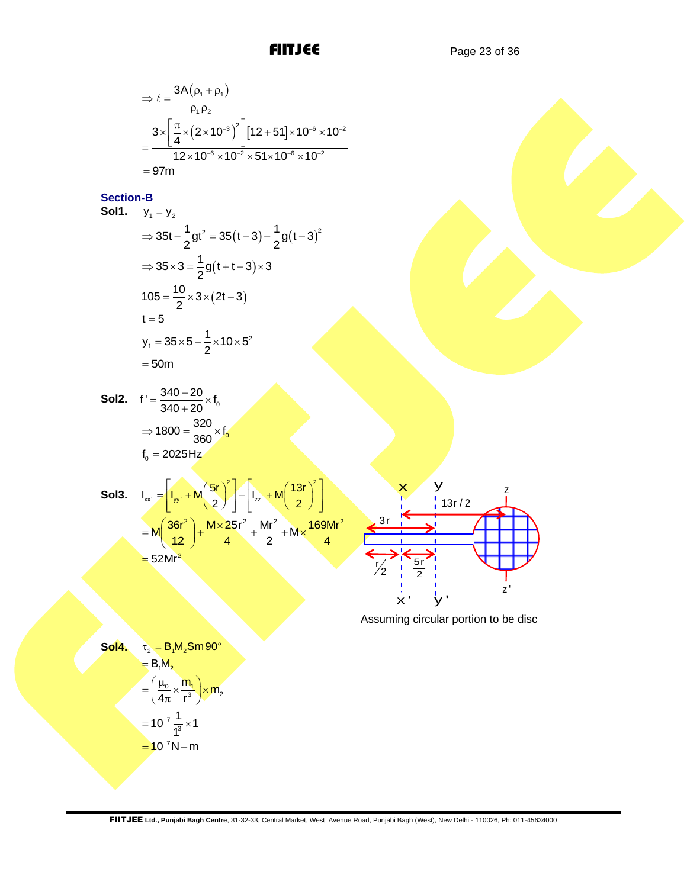$$
\Rightarrow \ell = \frac{3A(\rho_1 + \rho_1)}{\rho_1 \rho_2}
$$
  
= 
$$
\frac{3 \times \left[ \frac{\pi}{4} \times (2 \times 10^{-3})^2 \right] [12 + 51] \times 10^{-6} \times 10^{-2}}{12 \times 10^{-6} \times 10^{-2} \times 51 \times 10^{-6} \times 10^{-2}}
$$
  
= 97m

### **Section-B**

⇒ 
$$
\ell = \frac{3A(\rho_1 + \rho_1)}{\rho_1 \rho_2}
$$
  
\n
$$
= \frac{3 \times [\frac{\pi}{4} \times (2 \times 10^{-3})^2] \left[ 12 + 51 \right] \times 10^{-6} \times 10^{-2}}{12 \times 10^{-6} \times 10^{-2} \times 10^{-6} \times 10^{-2}}
$$
\nSection-B  
\nSolution  
\nSolution  
\nSolution  
\nSolution  
\n
$$
= 97m
$$
  
\nSectionB  
\nSolution  
\n
$$
= 35x - \frac{1}{2}gt^2 = 35(t - 3) - \frac{1}{2}g(t - 3)^2
$$
\n
$$
\Rightarrow 35 \times 3 = \frac{1}{2}g(t + t - 3) \times 3
$$
\n
$$
105 = \frac{10}{2} \times 3 \times (2t - 3)
$$
\n
$$
t = 5
$$
\n
$$
y_t = 35 \times 5 - \frac{1}{2} \times 10 \times 5^2
$$
\n
$$
= 50m
$$
\nSo12.  $t' = \frac{340 - 20}{340 + 20} \times t_0$   
\n
$$
\Rightarrow 1800 = \frac{320}{360} \times t_0
$$
\n
$$
t_0 = 2025 Hz
$$
\nSo13.  $I_{av} = [t_{av} + M(\frac{5t}{2})^2] + [t_{av} + M(\frac{13t}{2})^2]$   
\n
$$
= M(\frac{36t^2}{12}) + \frac{M \times 25t^2}{4} + \frac{Mt^2}{2} + M \times \frac{169Mt^2}{4} + \frac{8t}{2} + \frac{13t/2}{2} + \frac{t}{2} = 52Mr^2
$$
\n
$$
= 52Mr^2
$$
\n
$$
= 5Mt^2
$$
\nAs suming circular portion to be disc  
\nSo14.  $t_2 = B_r M_r$ 

**Sol2.**  $f' = \frac{340 - 20}{340 + 20} \times f_0$  $=\frac{340-20}{340+20} \times f$  $\Rightarrow$  1800 =  $\frac{320}{360} \times f_0$  $f_0 = 2025$ Hz

| <b>Sol3.</b> $I_{xx'} = \left[ I_{yy'} + M \left( \frac{5r}{2} \right)^2 \right] + \left[ I_{zz'} + M \left( \frac{13r}{2} \right)^2 \right]$ |  |  |
|-----------------------------------------------------------------------------------------------------------------------------------------------|--|--|
| $= M \left( \frac{36r^2}{12} \right) + \frac{M \times 25r^2}{4} + \frac{Mr^2}{2} + M \times \frac{169Mr^2}{4}$                                |  |  |
| $=$ 52Mr <sup>2</sup>                                                                                                                         |  |  |



Assuming circular portion to be disc

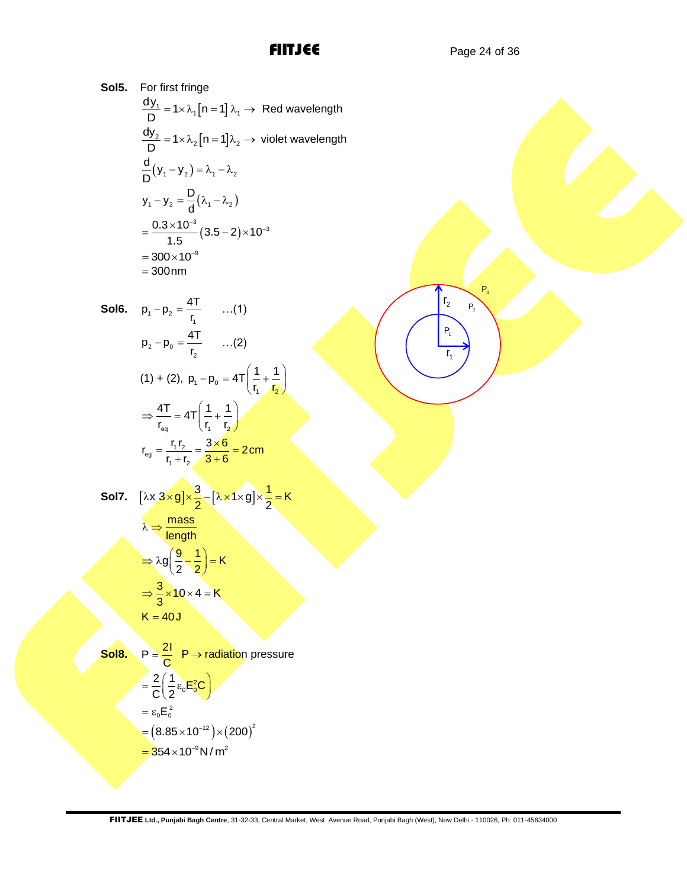$\overline{r_2}$ 

 $P<sub>2</sub>$  $P_0$ 

 $P_1$ 

 $r_{1}$ 

**Sol5.** For first fringe  
\n
$$
\frac{dy_1}{D} = 1 \times \lambda_1 [n = 1] \lambda_1 \rightarrow \text{ Red wavelength}
$$
\n
$$
\frac{dy_2}{D} = 1 \times \lambda_2 [n = 1] \lambda_2 \rightarrow \text{ violet wavelength}
$$
\n
$$
\frac{d}{D} (y_1 - y_2) = \lambda_1 - \lambda_2
$$
\n
$$
y_1 - y_2 = \frac{D}{d} (\lambda_1 - \lambda_2)
$$
\n
$$
= \frac{0.3 \times 10^{-3}}{1.5} (3.5 - 2) \times 10^{-3}
$$
\n
$$
= 300 \times 10^{-9}
$$
\n
$$
= 300 \text{ nm}
$$

Sol6. 
$$
p_1 - p_2 = \frac{4T}{r_1}
$$
 ...(1)  
\n
$$
p_2 - p_0 = \frac{4T}{r_2}
$$
 ...(2)  
\n(1) + (2),  $p_1 - p_0 = 4T\left(\frac{1}{r_1} + \frac{1}{r_2}\right)$   
\n
$$
\Rightarrow \frac{4T}{r_{eq}} = 4T\left(\frac{1}{r_1} + \frac{1}{r_2}\right)
$$
  
\n
$$
r_{eq} = \frac{r_1 r_2}{r_1 + r_2} = \frac{3 \times 6}{3 + 6} = 2 \text{ cm}
$$

SoI7. 
$$
[\lambda x \frac{3 \times g}{2}] \times \frac{3}{2} - [\lambda \times 1 \times g] \times \frac{1}{2} = K
$$

$$
\lambda \Rightarrow \frac{\text{mass}}{\text{length}}
$$

$$
\Rightarrow \lambda g \left(\frac{9}{2} - \frac{1}{2}\right) = K
$$

$$
\Rightarrow \frac{3}{3} \times 10 \times 4 = K
$$

$$
K = 40J
$$

Sol8. 
$$
P = \frac{21}{C}
$$
 P $\rightarrow$  radiation pressure  
\n
$$
= \frac{2}{C} \left( \frac{1}{2} \epsilon_0 E_0^2 C \right)
$$
\n
$$
= \epsilon_0 E_0^2
$$
\n
$$
= (8.85 \times 10^{-12}) \times (200)^2
$$
\n
$$
= 354 \times 10^{-9} N/m^2
$$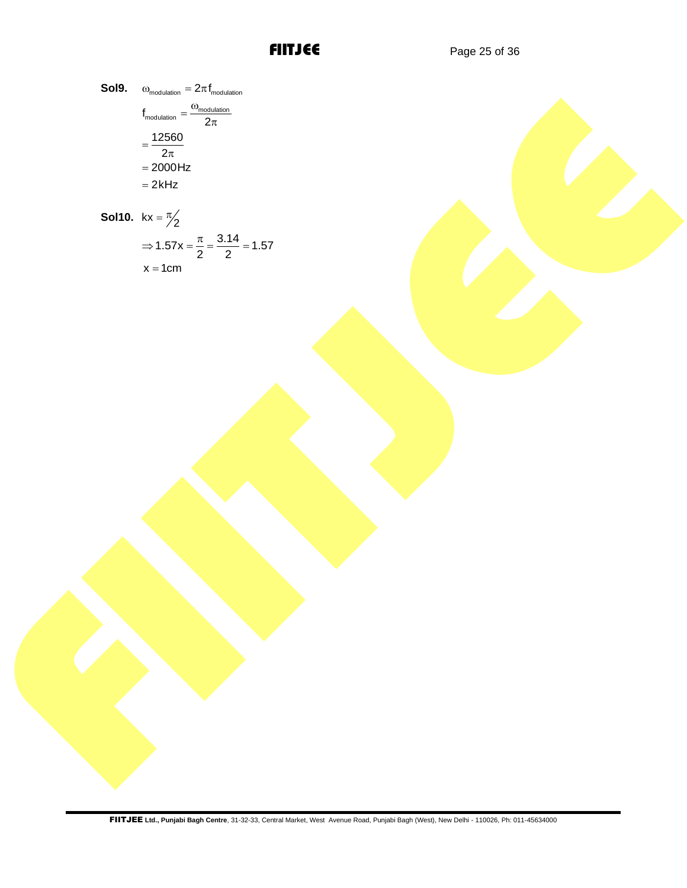**Sol9.** 
$$
\omega_{\text{modulation}} = 2\pi f_{\text{modulation}}
$$

$$
f_{\text{modulation}} = \frac{\omega_{\text{modulation}}}{2\pi}
$$

$$
= \frac{12560}{2\pi}
$$

$$
= 2000 \text{ Hz}
$$

$$
= 2 \text{ kHz}
$$

**Sol10.** 
$$
kx = \frac{\pi}{2}
$$
  
\n $\Rightarrow 1.57x = \frac{\pi}{2} = \frac{3.14}{2} = 1.57$   
\n $x = 1cm$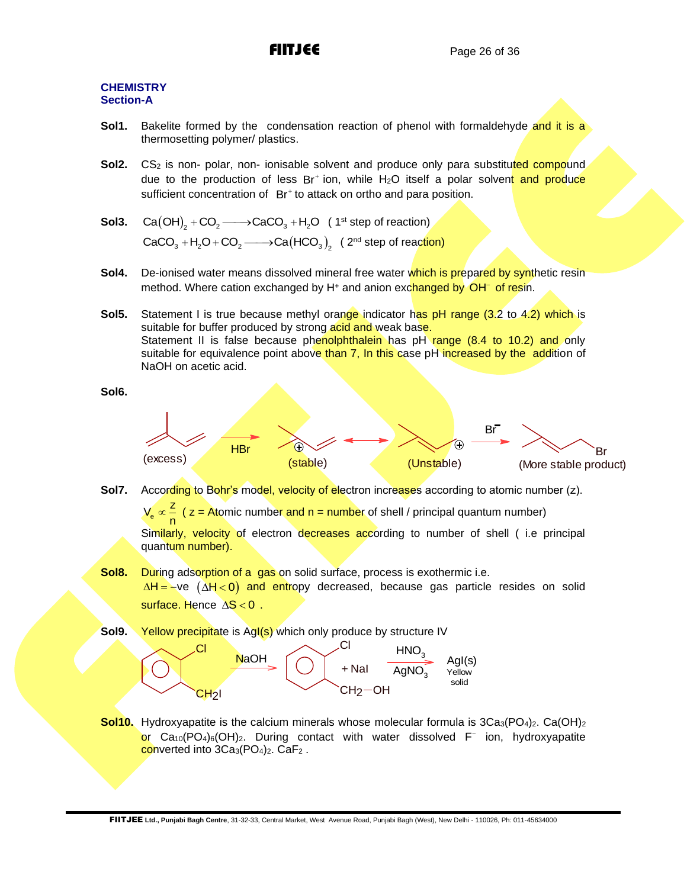### **CHEMISTRY Section-A**

- **Sol1.** Bakelite formed by the condensation reaction of phenol with formaldehyde and it is a thermosetting polymer/ plastics.
- **Sol2.** CS<sub>2</sub> is non- polar, non- ionisable solvent and produce only para substituted compound due to the production of less Br<sup>+</sup> ion, while H<sub>2</sub>O itself a polar solven<mark>t and produce</mark> sufficient concentration of Br<sup>+</sup> to attack on ortho and para position.
- **Sol3.**  $\text{Ca}(\text{OH})_{2} + \text{CO}_{2} \longrightarrow \text{CaCO}_{3} + \text{H}_{2}\text{O}$  (1st step of reaction)  $CaCO<sub>3</sub> + H<sub>2</sub>O + CO<sub>2</sub>$   $\longrightarrow$  Ca(HCO<sub>3</sub>)<sub>2</sub> (2<sup>nd</sup> step of reaction)
- Sol4. De-ionised water means dissolved mineral free water which is prepared by synthetic resin method. Where cation exchanged by H<sup>+</sup> and anion exchanged by OH<sup>−</sup> of resin.
- **Sol5.** Statement I is true because methyl orange indicator has pH range (3.2 to 4.2) which is suitable for buffer produced by strong acid and weak base. Statement II is false because phenolphthalein has pH range (8.4 to 10.2) and only suitable for equivalence point above than 7, In this case pH increased by the addition of NaOH on acetic acid.

**Sol6.**



**Sol7.** According to Bohr's model, velocity of electron increases according to atomic number (z).

e  $V_e \propto \frac{Z}{n}$ ( z = Atomic number and n = number of shell / principal quantum number)

Similarly, velocity of electron decreases according to number of shell (i.e principal quantum number).

**Sol8.** During adsorption of a gas on solid surface, process is exothermic i.e. <u>∆H=</u>–ve (∆H<0) and entropy decreased, because gas particle resides on solid surface. Hence AS < 0 .

```
Sol9. Yellow precipitate is AgI(s) which only produce by structure IV
```


**Sol10.** Hydroxyapatite is the calcium minerals whose molecular formula is  $3Ca_3(PO_4)_2$ . Ca(OH)<sub>2</sub> or Ca<sub>10</sub>(PO<sub>4</sub>)<sub>6</sub>(OH)<sub>2</sub>. During contact with water dissolved F<sup>-</sup> ion, hydroxyapatite converted into 3Ca<sub>3</sub>(PO<sub>4</sub>)<sub>2</sub>. CaF<sub>2</sub>.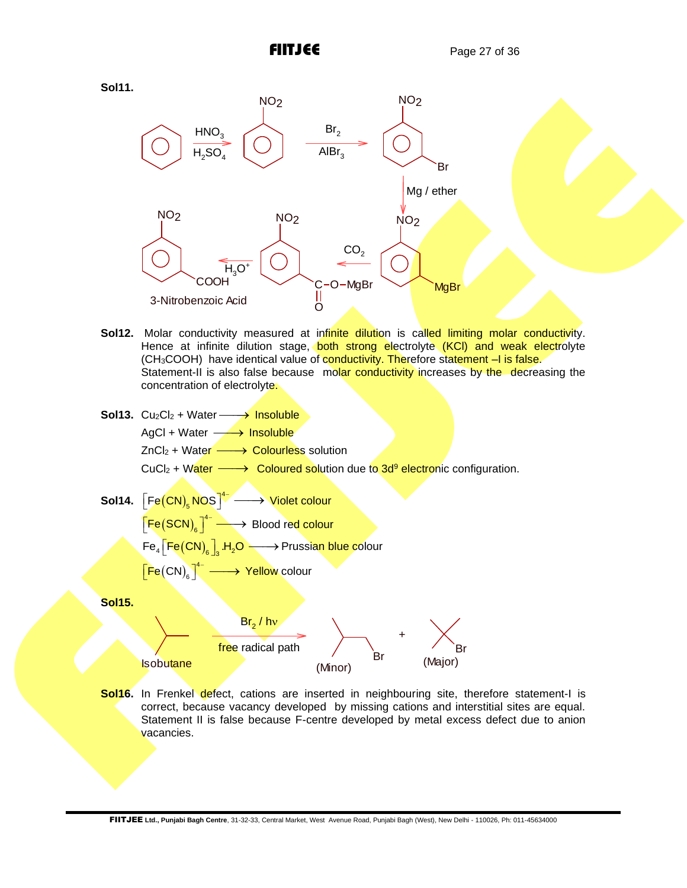

- Sol12. Molar conductivity measured at infinite dilution is called limiting molar conductivity. Hence at infinite dilution stage, **both strong electrolyte (KCI) and weak electrolyte** (CH<sub>3</sub>COOH) have identical value of conductivity. Therefore statement -I is false. Statement-II is also false because molar conductivity increases by the decreasing the concentration of electrolyte.
- Sol13. Cu<sub>2</sub>Cl<sub>2</sub> + Water 
Sol13. Cu<sub>2</sub>Cl<sub>2</sub> + Water AgCl + Water 
<del>→ Insoluble</del> ZnCl<sub>2</sub> + Water  $\longrightarrow$  Colourless solution CuCl<sub>2</sub> + Water  $\longrightarrow$  Coloured solution due to 3d<sup>9</sup> electronic configuration.  ${\sf Sol14.}\ \left[\, {\sf Fe}({\sf CN})_{\sf c} \, {\sf NOS} \right]^{\!4}$  $\left[\mathsf{Fe}(\mathsf{CN})_{_{\mathrm{S}}}\mathsf{NOS}\right]^{4-}\longrightarrow\mathsf{Violet}$  colour  $(SCN)<sub>e</sub>$ <sup>4</sup>  $\left[\mathsf{Fe}(\mathsf{SCN})_{_{\mathbf{6}}}\right]^{_{\mathbf{4}^-}}\longrightarrow \mathsf{Blood}\ \mathsf{red}\ \mathsf{colour}$  $\mathsf{Fe}_{4}\big[\mathsf{Fe}\big(\mathsf{CN}\big)_\mathbf{6}\big]_3$  .H $_2\mathsf{O}\longrightarrow$  Prussian blue colour  $(CN)$ <sup>4</sup>  $\left[\mathsf{Fe}\!\left(\mathsf{CN}\right)_{\!6}\right]^{4-}\longrightarrow\mathsf{Yellow}\;$ colour **Sol15. Isobutane** Break (Minor) Br (Minor) + Br (Major)  $Br_{2}$  / hv free radical path
- **Sol16.** In Frenkel defect, cations are inserted in neighbouring site, therefore statement-I is correct, because vacancy developed by missing cations and interstitial sites are equal. Statement II is false because F-centre developed by metal excess defect due to anion vacancies.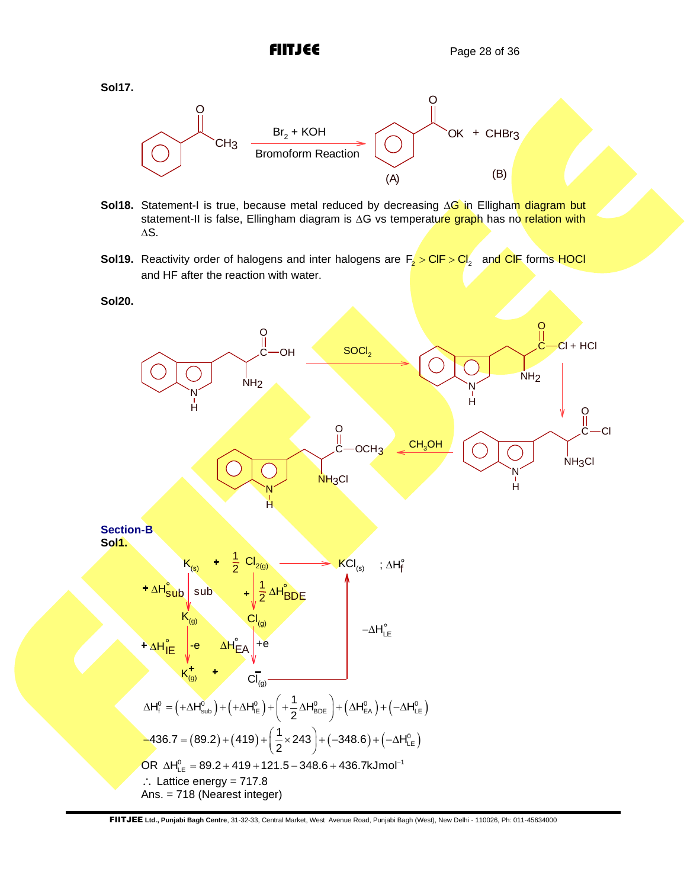

- **Sol18.** Statement-I is true, because metal reduced by decreasing  $\Delta G$  in Elligham diagram but statement-II is false, Ellingham diagram is  $\Delta G$  vs temperature graph has no relation with  $\Delta S$ .
- **Sol19.** Reactivity order of halogens and inter halogens are  $F_2 > CIF > CI_2$  and CIF forms HOCI and HF after the reaction with water.

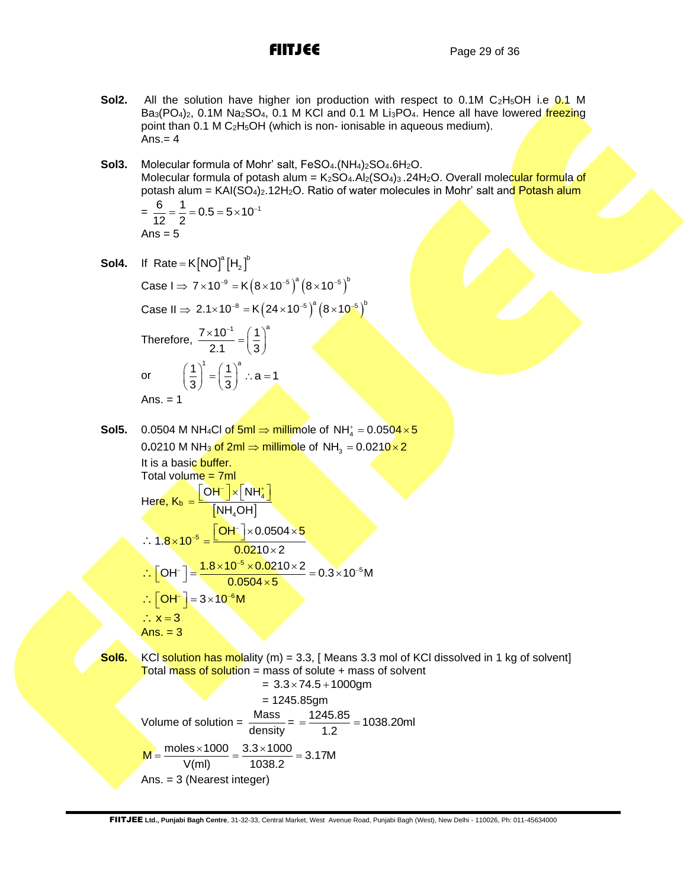- **Sol2.** All the solution have higher ion production with respect to 0.1M C<sub>2</sub>H<sub>5</sub>OH i.e 0.1 M Ba<sub>3</sub>(PO<sub>4</sub>)<sub>2</sub>, 0.1M Na<sub>2</sub>SO<sub>4</sub>, 0.1 M KCl and 0.1 M Li<sub>3</sub>PO<sub>4</sub>. Hence all have lowered freezing point than 0.1 M C2H5OH (which is non- ionisable in aqueous medium).  $Ans. = 4$
- **Sol3.** Molecular formula of Mohr' salt, FeSO<sub>4</sub>.(NH<sub>4</sub>)<sub>2</sub>SO<sub>4</sub>.6H<sub>2</sub>O. Molecular formula of potash alum =  $K_2SO_4$ .Al<sub>2</sub>(SO<sub>4</sub>)<sub>3</sub> .24H<sub>2</sub>O. Overall molecular formula of potash alum =  $KAI(SO<sub>4</sub>)<sub>2</sub>$ .12H<sub>2</sub>O. Ratio of water molecules in Mohr' salt and Potash alum

$$
= \frac{6}{12} = \frac{1}{2} = 0.5 = 5 \times 10^{-1}
$$
  
Ans = 5

**Sol4.** If  $Rate = K[NO]^a [H_2]^b$ 

Case I 
$$
\Rightarrow
$$
 7×10<sup>-9</sup> = K(8×10<sup>-5</sup>)<sup>a</sup> (8×10<sup>-5</sup>)<sup>b</sup>  
\nCase II  $\Rightarrow$  2.1×10<sup>-8</sup> = K(24×10<sup>-5</sup>)<sup>a</sup> (8×10<sup>-5</sup>)<sup>b</sup>  
\nTherefore,  $\frac{7×10^{-1}}{2.1} = (\frac{1}{3})^a$   
\nor  $(\frac{1}{3})^1 = (\frac{1}{3})^a$   $\therefore$  a = 1  
\nAns. = 1

Sol5.  $\,$  0.0504 M NH $_4$ Cl of 5ml  $\Rightarrow$  millimole of NH $_4^* =$  0.050<mark>4 $\times$ 5</mark> 0**.**0210 M NH<mark>3 of 2ml  $\Rightarrow$  millimole</mark> of NH $_{_3}$  = 0.0210 $\times$ 2 It is a basic buffer.

It is a basic **bullet!**.  
\nTotal volume = 7ml  
\nHere, 
$$
K_b = \frac{[OH^-] \times [NH_4^+]}{[NH_4OH]}
$$
  
\n∴ 1.8×10<sup>-5</sup> =  $\frac{[OH^-] \times 0.0504 \times 5}{0.0210 \times 2}$ 

- $\therefore$  [OH<sup>-</sup>] =  $\frac{1.8 \times 10^{-5}}{2.2}$  $OH^{-}$ ] =  $\frac{1.8 \times 10^{-5} \times 0.0210 \times 2}{0.0504 \times 5}$  = 0.3×10<sup>-5</sup>M  $\left[\text{OH}^-\right] = \frac{1.8 \times 10^{-5} \times 0.0210 \times 2}{0.0504 \times 5} = 0.3 \times 10^{-5} \text{M}$  $\therefore$  OH  $^{-}$  = 3  $\times$  10<sup>-6</sup>M
- $\therefore$  x = 3
- Ans.  $= 3$

**Sol6.** KCI solution has molality (m) = 3.3, [Means 3.3 mol of KCI dissolved in 1 kg of solvent] Total mass of solution = mass of solute  $+$  mass of solvent

 $= 3.3 \times 74.5 + 1000$ gm = 1245.85gm Volume of solution =  $\frac{\text{Mass}}{1}$  $\frac{\text{Mass}}{\text{density}}$  =  $\frac{1245.85}{1.2}$  = 1038.20ml  $M = \frac{\text{moles} \times 1000}{V(\text{ml})} = \frac{3.3 \times 1000}{1038.2} = 3.17M$  $\frac{\text{moles} \times 1000}{\text{Mm}} = \frac{3.3 \times 1000}{1000} = 3.17$ Ans. = 3 (Nearest integer)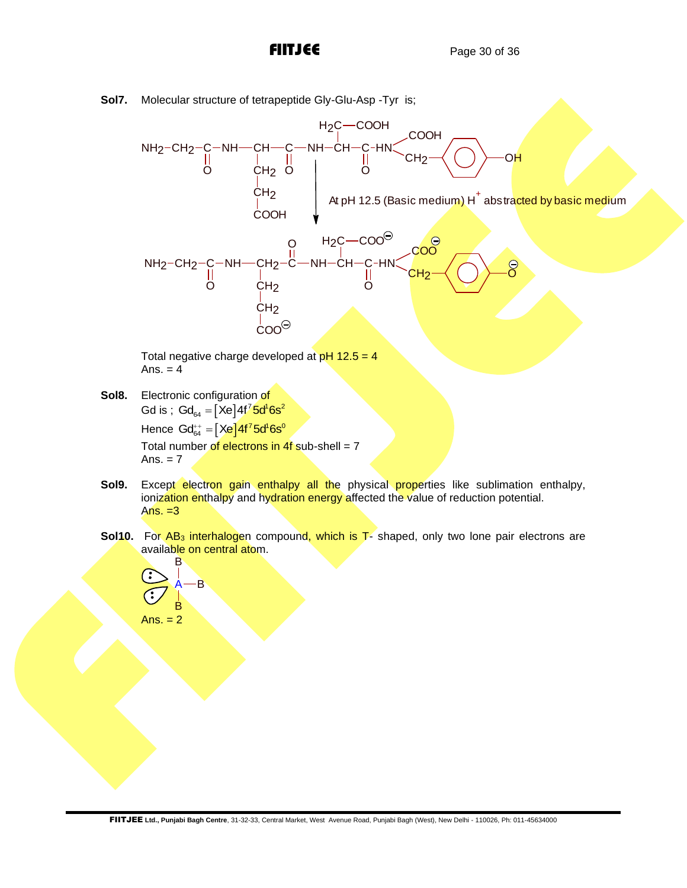**Sol7.** Molecular structure of tetrapeptide Gly-Glu-Asp -Tyr is;



Total negative charge developed at  $pH$  12.5 = 4 Ans.  $= 4$ 

- Sol8. Electronic configuration of Gd is ;  $\textsf{Gd}_{_{64}}=[\textsf{Xe}]4\textsf{f}^7\textsf{5d}^1\textsf{6s}^2$ Hence Gd $_{64}^{++}=\left[ \right. \times \!\!e\right] \!4\mathsf{f}^7$ 5d $^1$ 6s $^0$ Total number of electrons in  $4f$  sub-shell = 7 Ans.  $= 7$
- **Sol9.** Except electron gain enthalpy all the physical properties like sublimation enthalpy, ionization enthalpy and hydration energy affected the value of reduction potential. Ans.  $=3$
- **Sol10.** For AB<sub>3</sub> interhalogen compound, which is T- shaped, only two lone pair electrons are available on central atom. **R**

$$
\begin{array}{c}\n\begin{array}{c}\n\bullet \\
\bullet \\
\bullet \\
\end{array}\n\end{array}
$$
\nAns. = 2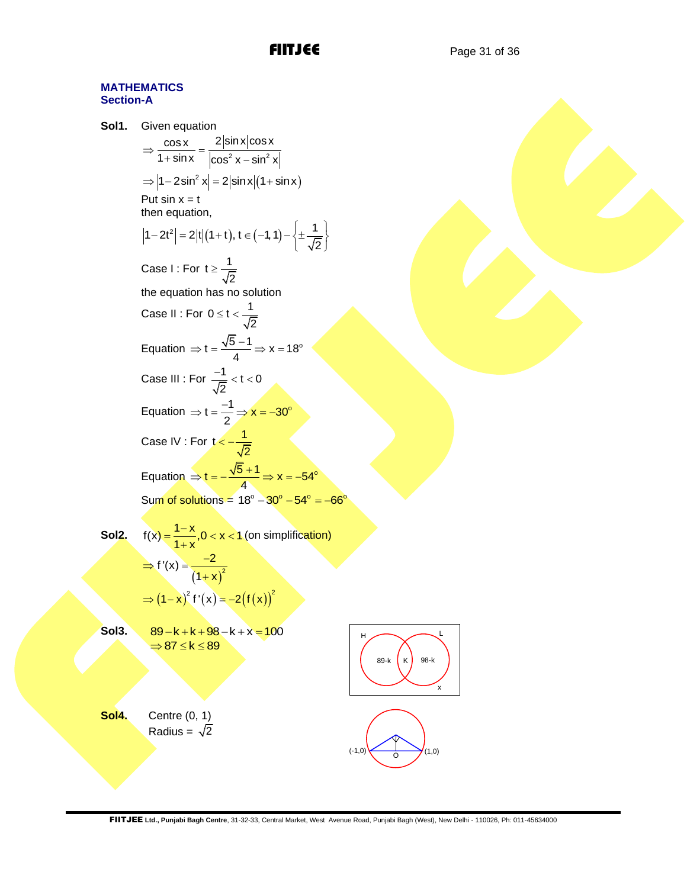### **MATHEMATICS Section-A**

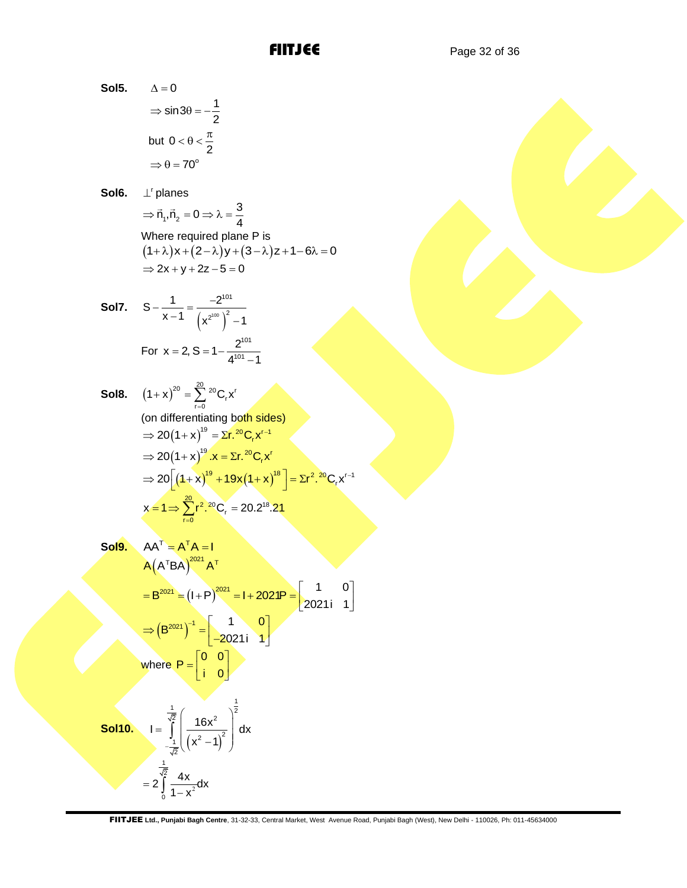**Sol5.** 
$$
\Delta = 0
$$

$$
\Rightarrow \sin 3\theta = -\frac{1}{2}
$$

$$
\text{but } 0 < \theta < \frac{\pi}{2}
$$

$$
\Rightarrow \theta = 70^{\circ}
$$

**Sol6.** ⊥<sup>r</sup> planes

$$
\Rightarrow \vec{n}_1, \vec{n}_2 = 0 \Rightarrow \lambda = \frac{3}{4}
$$

1

2

2

 $\overline{4}$ Where required plane P is  $(1 + \lambda)x + (2 - \lambda)y + (3 - \lambda)z + 1 - 6\lambda = 0$  $\Rightarrow$  2x + y + 2z - 5 = 0

**Sol7.** 
$$
S - \frac{1}{x - 1} = \frac{-2^{101}}{(x^{2^{100}})^2 - 1}
$$
  
For  $x = 2$ ,  $S = 1 - \frac{2^{101}}{4^{101} - 1}$ 

**Sol8.** 
$$
(1+x)^{20} = \sum_{r=0}^{20} {}^{20}C_r x^r
$$
  
\n(on differentiating both sides)  
\n $\Rightarrow 20(1+x)^{19} = \sum r \cdot {}^{20}C_r x^{r-1}$   
\n $\Rightarrow 20(1+x)^{19} \cdot x = \sum r \cdot {}^{20}C_r x^r$   
\n $\Rightarrow 20[(1+x)^{19} + 19x(1+x)^{18}] = \sum r^2 \cdot {}^{20}C_r x^{r-1}$   
\n $x = 1 \Rightarrow \sum_{r=0}^{20} r^2 \cdot {}^{20}C_r = 20.2^{18}.21$ 

**Sol9.** 
$$
AA^{T} = A^{T}A = I
$$
  
\n $A(A^{T}BA)^{2021}A^{T}$   
\n $= B^{2021} = (I+P)^{2021} = I+2021P = \begin{bmatrix} 1 & 0 \\ 2021i & 1 \end{bmatrix}$   
\n $\Rightarrow (B^{2021})^{-1} = \begin{bmatrix} 1 & 0 \\ -2021i & 1 \end{bmatrix}$   
\nwhere  $P = \begin{bmatrix} 0 & 0 \\ i & 0 \end{bmatrix}$ 

**Sol10.** 
$$
I = \int_{-\frac{1}{\sqrt{2}}}^{\frac{1}{\sqrt{2}}} \left(\frac{16x^2}{(x^2 - 1)^2}\right)^2 dx
$$

$$
= 2 \int_{0}^{\frac{1}{\sqrt{2}}} \frac{4x}{1 - x^2} dx
$$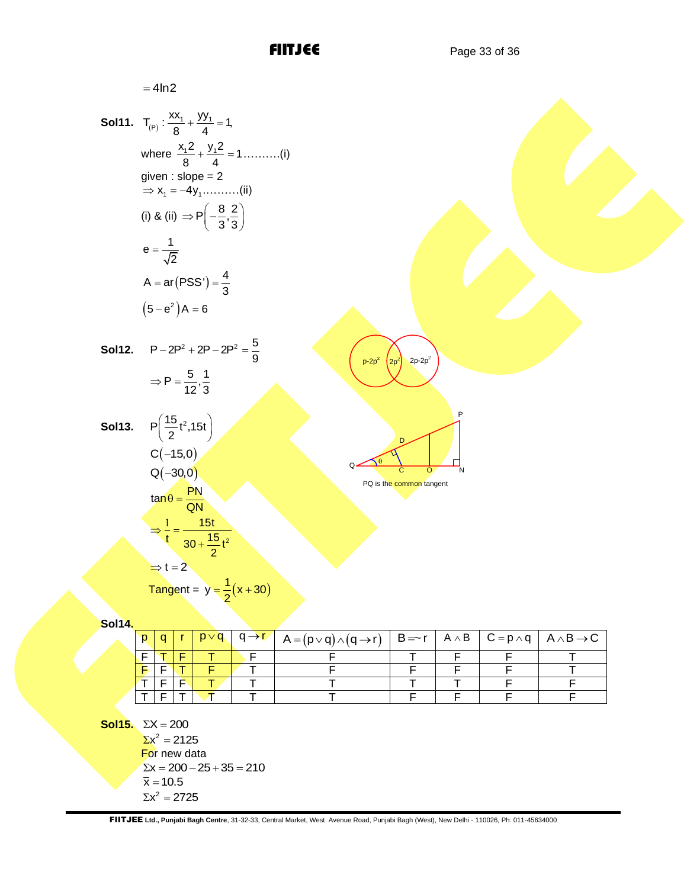= 4ln2  
\n**So111.** T<sub>(P)</sub> : 
$$
\frac{xx_1 + yy_1}{8} = 1
$$
,  
\nwhere  $\frac{x_1^2 + y_1^2}{8} = 1$ ........(i)  
\ngiven : slope = 2  
\n⇒ x<sub>1</sub> = -4y........(ii)  
\n(i) & (ii) & (iii) ⇒ P $\left(-\frac{8}{3}, \frac{2}{3}\right)$   
\n $e = \frac{1}{\sqrt{2}}$   
\n $A = ar(PSS') = \frac{4}{3}$   
\n $(5 - e^2)A = 6$   
\n**So112.** P<sub>-</sub>2P<sup>2</sup> + 2P - 2P<sup>2</sup> =  $\frac{5}{9}$   
\n⇒ P =  $\frac{5}{12} \cdot \frac{1}{3}$   
\n**So113.** P $\left(\frac{15}{2}t^2, 15t\right)$   
\nC(–15,0)  
\nQ(–30,0)  
\n $tan\theta = \frac{PN}{QN}$   
\n $\Rightarrow \frac{1}{t} = \frac{15t}{30 + \frac{15}{2}t^2}$   
\n⇒ t = 2  
\n  
\n  
\n  
\n  
\n**Table 1.1** A + B = C = P<sub>1</sub> A + B = C = P<sub>2</sub> A + B = C = P<sub>1</sub> A + B = C = P<sub>1</sub> A + B = C = P<sub>1</sub> A + B = C = P<sub>1</sub> A + B = C = P<sub>1</sub> A + B = C = P<sub>1</sub> A + B = C = P<sub>1</sub> A + B = C = P<sub>1</sub> A + B = C = P<sub>1</sub> A + B = C = P<sub>1</sub> A + B = C = P<sub>2</sub> A + B = C = P<sub>1</sub> A + B = C = P<sub>2</sub> A + B = C = P<sub>1</sub> A + B = C = P<sub>1</sub> A + B = C = P<sub>2</sub> A + B = C = P<sub>1</sub> A + B = C = P<sub>2</sub> A + B = C = P<sub>1</sub> A + B = C = P<sub>2</sub> A + B = C = P<sub>1</sub> A + B

| p |  |  | $ q  r   p \vee q   q \rightarrow r'   A = (p \vee q) \wedge (q \rightarrow r)   B = r   A \wedge B   C = p \wedge q   A \wedge B \rightarrow C$ |  |  |
|---|--|--|--------------------------------------------------------------------------------------------------------------------------------------------------|--|--|
|   |  |  |                                                                                                                                                  |  |  |
|   |  |  |                                                                                                                                                  |  |  |
|   |  |  |                                                                                                                                                  |  |  |
|   |  |  |                                                                                                                                                  |  |  |

**Sol15.**  $\Sigma X = 200$ 

 $\Sigma x^2 = 2125$ For new data  $\Sigma x = 200 - 25 + 35 = 210$  $\bar{x} = 10.5$  $\Sigma x^2 = 2725$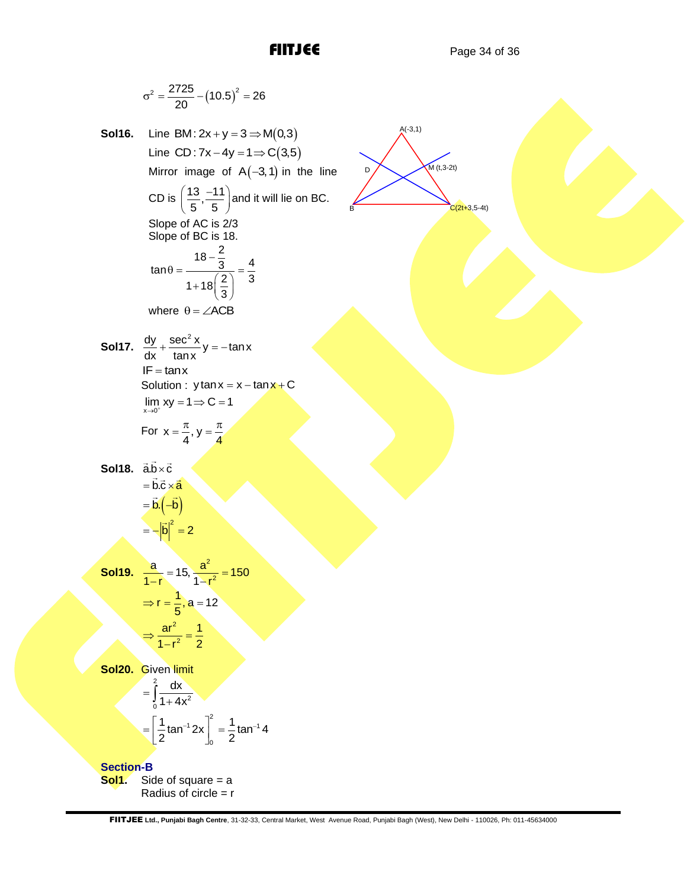$$
\sigma^2 = \frac{2725}{20} - (10.5)^2 - 26
$$
  
\n**Solt6.** Line (801:2x + y = 3 = M(0.3)  
\nLine (801:2x + y = 3 = M(0.3)  
\nMin for image of A(-3, 1) in the line  
\nCD is  $\left(\frac{13}{5} - \frac{11}{5}\right)$  and it will lie on BC.  
\nSlope of AC is 2/3  
\nSlope of BC is 18.  
\n
$$
\tan \theta = \frac{18 - \frac{2}{3}}{1 + 18(\frac{2}{3})} = \frac{4}{3}
$$
\nwhere  $\theta = \angle ACB$   
\n**Solt7.**  $\frac{dy}{dx} + \frac{\sec^2 xy}{\tan x}y = -\tan x$   
\nIf = \tan x  
\nSolution:  $\tan x$   
\nIf =  $\tan x$   
\nSolution:  $\tan x = x - \tan x + C$   
\n $\lim_{x \to 0} xy = 1 \Rightarrow C = 1$   
\n**Solt8.**  $\frac{a}{1 - b} = \frac{b}{b} = \frac{a^2}{1 - b^2} = \frac{1}{4}$   
\n**Solt9.**  $\frac{a}{1 - b} = \frac{16}{b} = \frac{a^2}{1 - b^2} = \frac{1}{2}$   
\n**Solt9.** Given limit  
\n $= \int_{0}^{b} \frac{1}{1 + 4x^2}$   
\n $= \int_{0}^{b} \frac{1}{1 + 4x^2}$   
\n**Solt9.** Given limit  
\n $= \int_{0}^{b} \frac{1}{1 + 4x^2}$   
\n**Solt9.** Solve on square = a  
\nRadius of circle = t  
\n**Solt1.** Side of square = a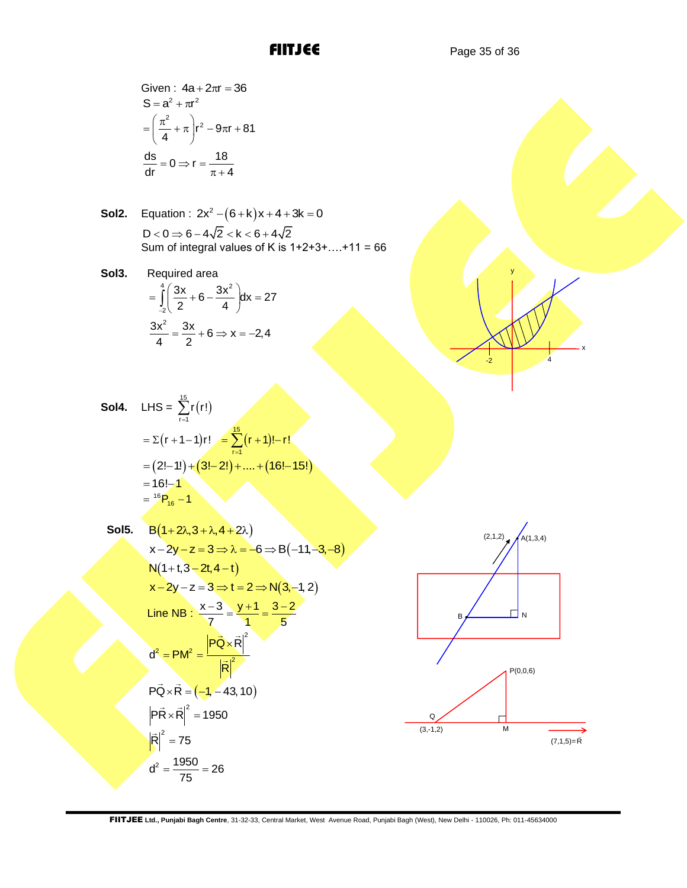Given: 
$$
4a + 2\pi r = 36
$$

$$
S = a^2 + \pi r^2
$$

$$
= \left(\frac{\pi^2}{4} + \pi\right) r^2 - 9\pi r + 81
$$

$$
\frac{ds}{dr} = 0 \Rightarrow r = \frac{18}{\pi + 4}
$$

**Sol2.** Equation : 
$$
2x^2 - (6+k)x + 4 + 3k = 0
$$
  
D < 0 ⇒ 6 – 4√2 < k < 6 + 4√2  
Sum of integral values of K is 1+2+3+....+11 = 66

**Sol3.** Required area  $\frac{4}{3}$   $\sqrt{2}$   $\sqrt{2}$ 2  $\frac{3x}{2} + 6 - \frac{3x^2}{4} dx = 27$  $\int_{-2}$   $\sqrt{2} + 6 - \frac{1}{4}$  $=\int_{-2}^{4} \left(\frac{3x}{2} + 6 - \frac{3x^2}{4}\right) dx = 27$  $rac{3x^2}{4} = \frac{3x}{2} + 6 \Rightarrow x = -2,4$  $=\frac{3x}{2} + 6 \Rightarrow x = -2,4$ 

**Sol4.** LHS = 
$$
\sum_{r=1}^{15} r(r!)
$$
  
\n=  $\sum (r + 1 - 1)r! = \sum_{r=1}^{15} (r + 1)! - r!$   
\n=  $(2! - 1!) + (3! - 2!) + ... + (16! - 15!)$   
\n=  $16! - 1$   
\n=  $^{16}P_{16} - 1$ 

Sol5. 
$$
B(1+2\lambda,3+\lambda,4+2\lambda)
$$
  
\n $x-2y-z=3 \Rightarrow \lambda = -6 \Rightarrow B(-11,-3,-8)$   
\n $N(1+1,3-2t,4-t)$   
\n $x-2y-z=3 \Rightarrow t=2 \Rightarrow N(3,-1,2)$   
\nLine NB:  $\frac{x-3}{7} = \frac{y+1}{1} = \frac{3-2}{5}$   
\n $d^2 = PM^2 = \frac{P\vec{Q} \times \vec{R}|^2}{|\vec{R}|^2}$   
\n $P\vec{Q} \times \vec{R} = (-1,-43,10)$   
\n $P\vec{R} \times \vec{R}|^2 = 1950$   
\n $|\vec{R}|^2 = 75$   
\n $d^2 = \frac{1950}{75} = 26$ 



 $-2$  4

x

y